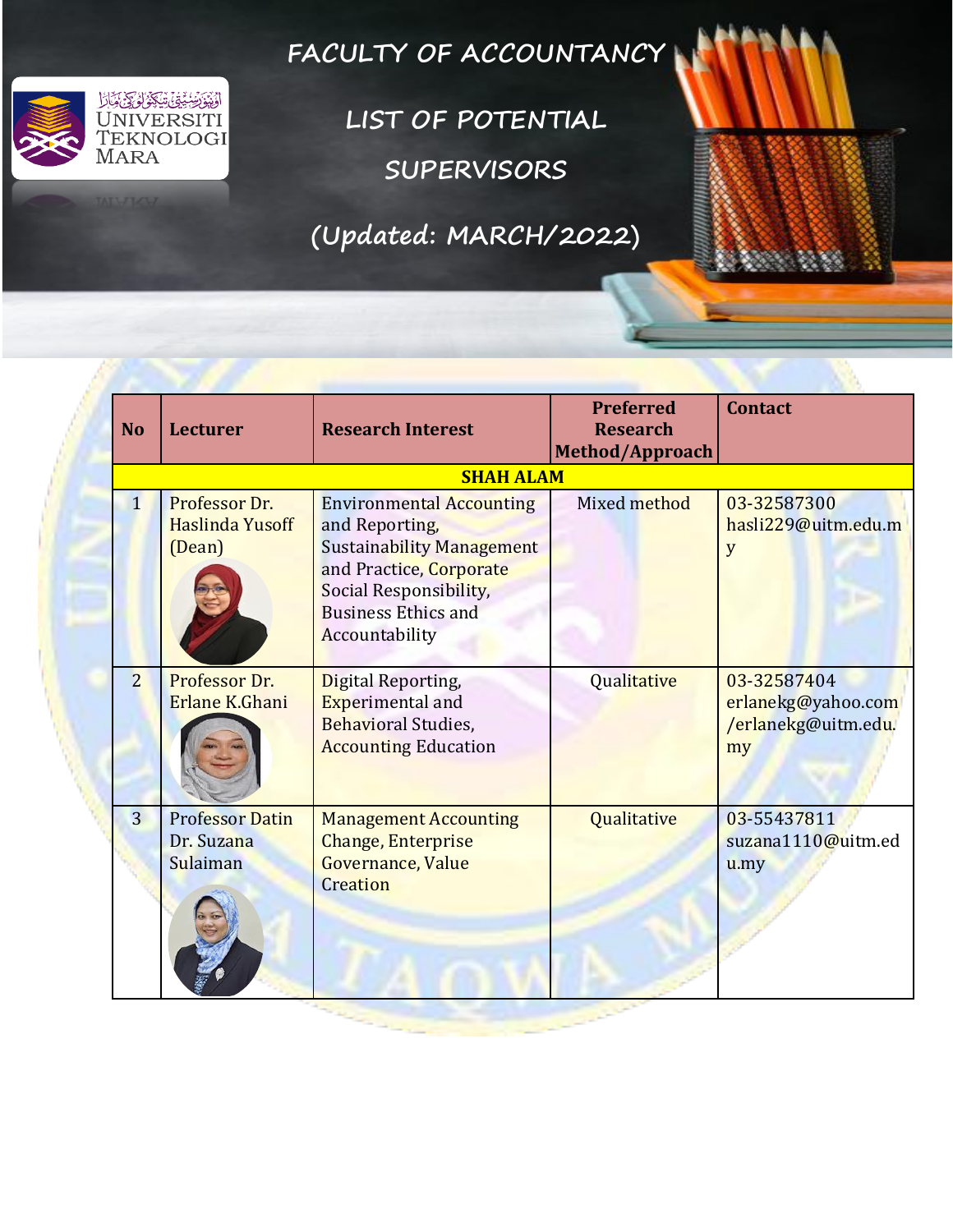

**FACULTY OF ACCOUNTANCY**

**LIST OF POTENTIAL** 

**SUPERVISORS** 

**(Updated: MARCH/2022)**

|   | <b>No</b>      | <b>Research Interest</b><br><b>Lecturer</b>       |                                                                                                                                                                                            | <b>Preferred</b><br><b>Research</b><br>Method/Approach | <b>Contact</b>                                                 |
|---|----------------|---------------------------------------------------|--------------------------------------------------------------------------------------------------------------------------------------------------------------------------------------------|--------------------------------------------------------|----------------------------------------------------------------|
|   |                |                                                   | <b>SHAH ALAM</b>                                                                                                                                                                           |                                                        |                                                                |
| 1 |                | Professor Dr.<br><b>Haslinda Yusoff</b><br>(Dean) | <b>Environmental Accounting</b><br>and Reporting,<br><b>Sustainability Management</b><br>and Practice, Corporate<br>Social Responsibility,<br><b>Business Ethics and</b><br>Accountability | Mixed method                                           | 03-32587300<br>hasli229@uitm.edu.m<br>y                        |
|   | $\overline{2}$ | Professor Dr.<br>Erlane K.Ghani                   | <b>Digital Reporting,</b><br><b>Experimental and</b><br><b>Behavioral Studies,</b><br><b>Accounting Education</b>                                                                          | Qualitative                                            | 03-32587404<br>erlanekg@yahoo.com<br>/erlanekg@uitm.edu.<br>my |
|   | $\overline{3}$ | <b>Professor Datin</b><br>Dr. Suzana<br>Sulaiman  | <b>Management Accounting</b><br><b>Change, Enterprise</b><br>Governance, Value<br><b>Creation</b>                                                                                          | Qualitative                                            | 03-55437811<br>suzana1110@uitm.ed<br>u.my                      |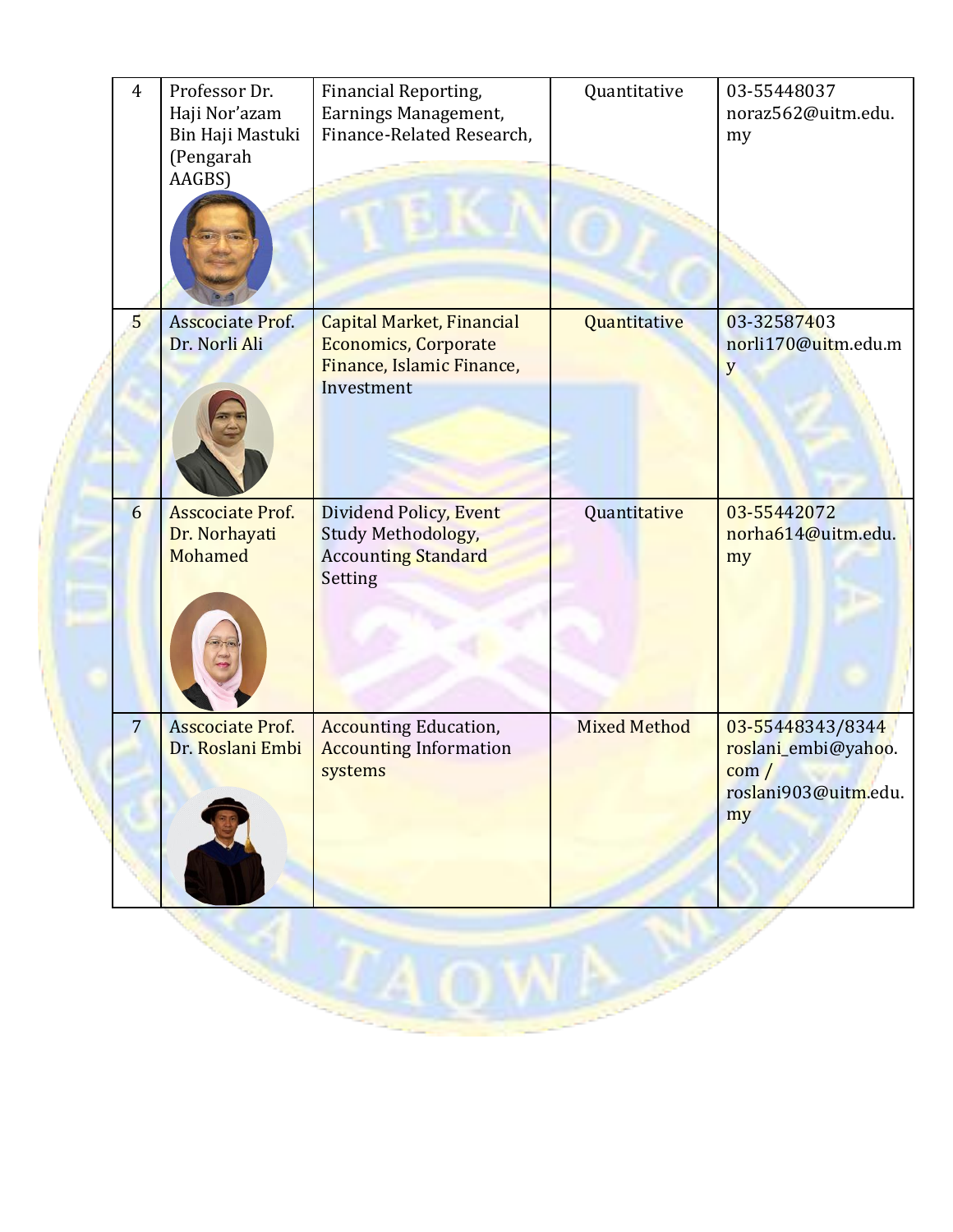| $\overline{4}$ | Professor Dr.<br>Haji Nor'azam<br>Bin Haji Mastuki<br>(Pengarah<br>AAGBS) | <b>Financial Reporting,</b><br>Earnings Management,<br>Finance-Related Research,                           | Quantitative        | 03-55448037<br>noraz562@uitm.edu.<br>my                                       |
|----------------|---------------------------------------------------------------------------|------------------------------------------------------------------------------------------------------------|---------------------|-------------------------------------------------------------------------------|
| $5\overline{}$ | <b>Asscociate Prof.</b><br>Dr. Norli Ali                                  | <b>Capital Market, Financial</b><br><b>Economics, Corporate</b><br>Finance, Islamic Finance,<br>Investment | Quantitative        | 03-32587403<br>norli170@uitm.edu.m<br>y                                       |
| 6              | <b>Asscociate Prof.</b><br>Dr. Norhayati<br>Mohamed                       | Dividend Policy, Event<br>Study Methodology,<br><b>Accounting Standard</b><br>Setting                      | Quantitative        | 03-55442072<br>norha614@uitm.edu.<br>my                                       |
| $\overline{7}$ | <b>Asscociate Prof.</b><br>Dr. Roslani Embi                               | <b>Accounting Education,</b><br><b>Accounting Information</b><br>systems                                   | <b>Mixed Method</b> | 03-55448343/8344<br>roslani_embi@yahoo.<br>com/<br>roslani903@uitm.edu.<br>my |

ATAQWAY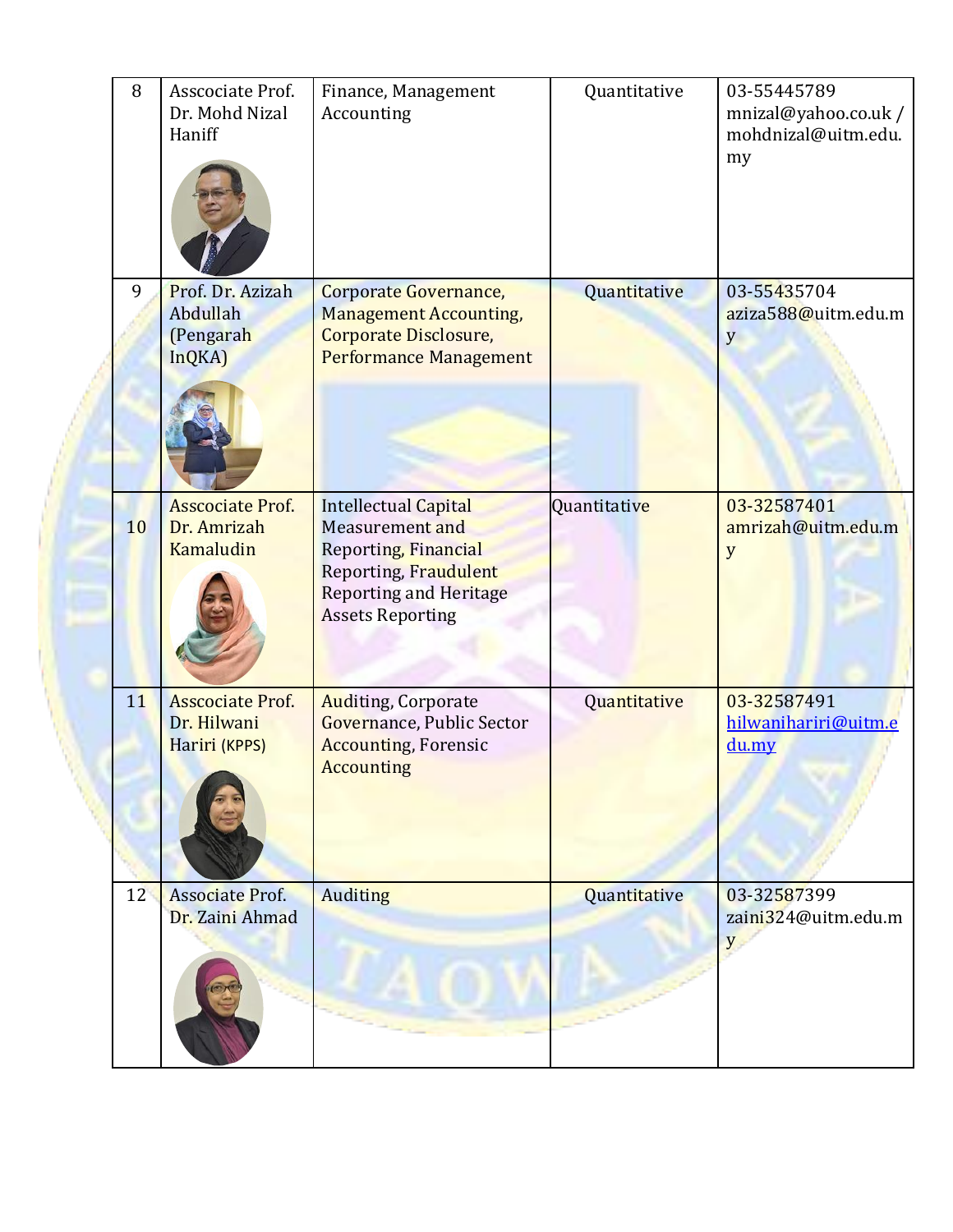| 8  | Asscociate Prof.<br>Dr. Mohd Nizal<br>Haniff               | Finance, Management<br>Accounting                                                                                                                                         | Quantitative               | 03-55445789<br>mnizal@yahoo.co.uk /<br>mohdnizal@uitm.edu.<br>my |
|----|------------------------------------------------------------|---------------------------------------------------------------------------------------------------------------------------------------------------------------------------|----------------------------|------------------------------------------------------------------|
| 9  | Prof. Dr. Azizah<br>Abdullah<br>(Pengarah<br>InQKA)        | Corporate Governance,<br><b>Management Accounting,</b><br>Corporate Disclosure,<br><b>Performance Management</b>                                                          | Quantitative               | 03-55435704<br>aziza588@uitm.edu.m<br>y                          |
|    |                                                            |                                                                                                                                                                           |                            |                                                                  |
| 10 | <b>Asscociate Prof.</b><br>Dr. Amrizah<br><b>Kamaludin</b> | <b>Intellectual Capital</b><br>Measurement and<br><b>Reporting, Financial</b><br><b>Reporting, Fraudulent</b><br><b>Reporting and Heritage</b><br><b>Assets Reporting</b> | Quantitativ <mark>e</mark> | 03-32587401<br>amrizah@uitm.edu.m<br>y                           |
| 11 | <b>Asscociate Prof.</b><br>Dr. Hilwani<br>Hariri (KPPS)    | <b>Auditing, Corporate</b><br>Governance, Public Sector<br><b>Accounting, Forensic</b><br><b>Accounting</b>                                                               | Quantitative               | 03-32587491<br>hilwanihariri@uitm.e<br>du.my                     |
| 12 | <b>Associate Prof.</b><br>Dr. Zaini Ahmad                  | <b>Auditing</b>                                                                                                                                                           | Quantitative               | 03-32587399<br>zaini324@uitm.edu.m<br>y                          |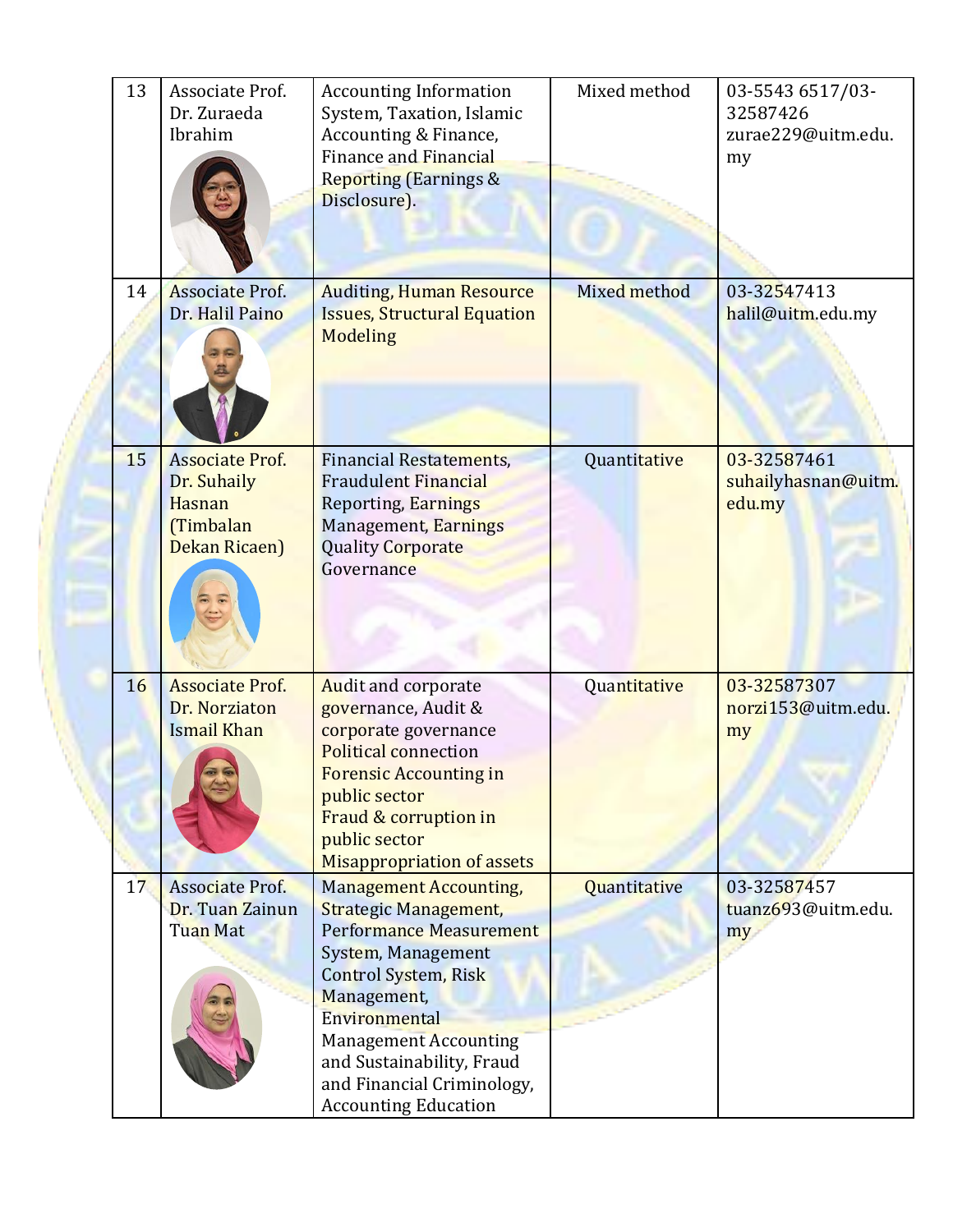| 13 | Associate Prof.<br>Dr. Zuraeda<br>Ibrahim                                     | <b>Accounting Information</b><br>System, Taxation, Islamic<br>Accounting & Finance,<br>Finance and Financial<br><b>Reporting (Earnings &amp;</b><br>Disclosure).                                                                                                                                        | Mixed method        | 03-5543 6517/03-<br>32587426<br>zurae229@uitm.edu.<br>my |
|----|-------------------------------------------------------------------------------|---------------------------------------------------------------------------------------------------------------------------------------------------------------------------------------------------------------------------------------------------------------------------------------------------------|---------------------|----------------------------------------------------------|
| 14 | <b>Associate Prof.</b><br>Dr. Halil Paino                                     | <b>Auditing, Human Resource</b><br><b>Issues, Structural Equation</b><br>Modeling                                                                                                                                                                                                                       | <b>Mixed method</b> | 03-32547413<br>halil@uitm.edu.my                         |
| 15 | <b>Associate Prof.</b><br>Dr. Suhaily<br>Hasnan<br>(Timbalan<br>Dekan Ricaen) | Financial Restatements,<br><b>Fraudulent Financial</b><br><b>Reporting, Earnings</b><br><b>Management, Earnings</b><br><b>Quality Corporate</b><br>Governance                                                                                                                                           | Quantitative        | 03-32587461<br>suhailyhasnan@uitm.<br>edu.my             |
| 16 | <b>Associate Prof.</b><br>Dr. Norziaton<br><b>Ismail Khan</b>                 | <b>Audit and corporate</b><br>governance, Audit &<br>corporate governance<br><b>Political connection</b><br><b>Forensic Accounting in</b><br>public sector<br>Fraud & corruption in<br>public sector<br><b>Misappropriation of assets</b>                                                               | Quantitative        | 03-32587307<br>norzi153@uitm.edu.<br>my                  |
| 17 | <b>Associate Prof.</b><br>Dr. Tuan Zainun<br>Tuan Mat                         | <b>Management Accounting,</b><br><b>Strategic Management,</b><br>Performance Measurement<br>System, Management<br><b>Control System, Risk</b><br>Management,<br>Environmental<br><b>Management Accounting</b><br>and Sustainability, Fraud<br>and Financial Criminology,<br><b>Accounting Education</b> | Quantitative        | 03-32587457<br>tuanz693@uitm.edu.<br>my                  |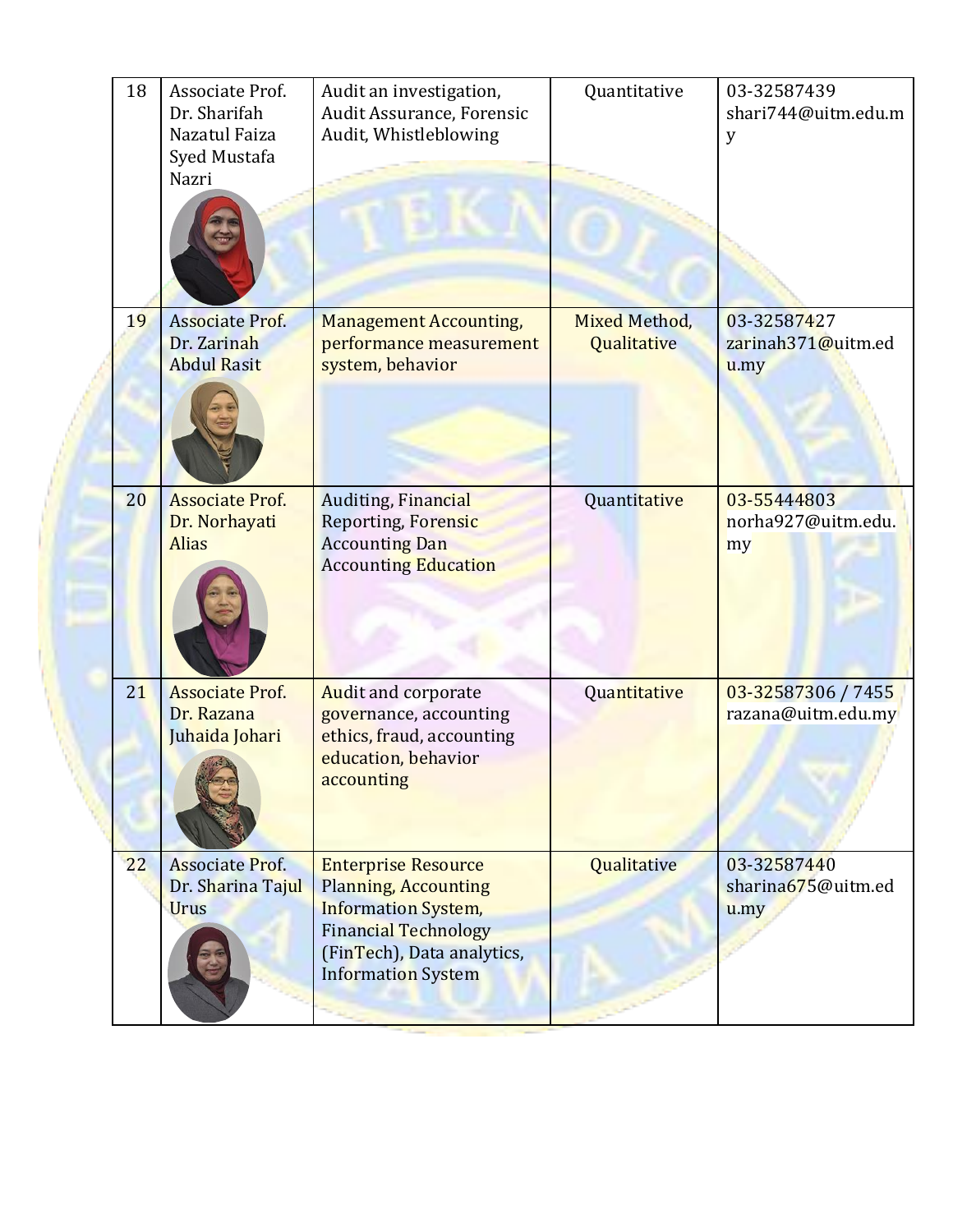| 18 | Associate Prof.<br>Dr. Sharifah<br>Nazatul Faiza<br>Syed Mustafa<br>Nazri | Audit an investigation,<br>Audit Assurance, Forensic<br>Audit, Whistleblowing                                                                                                     | Quantitative                        | 03-32587439<br>shari744@uitm.edu.m<br>y      |
|----|---------------------------------------------------------------------------|-----------------------------------------------------------------------------------------------------------------------------------------------------------------------------------|-------------------------------------|----------------------------------------------|
| 19 | <b>Associate Prof.</b><br>Dr. Zarinah<br><b>Abdul Rasit</b>               | <b>Management Accounting,</b><br>performance measurement<br>system, behavior                                                                                                      | <b>Mixed Method,</b><br>Qualitative | 03-32587427<br>zarinah371@uitm.ed<br>$u$ .my |
| 20 | <b>Associate Prof.</b><br>Dr. Norhayati<br><b>Alias</b>                   | <b>Auditing, Financial</b><br><b>Reporting, Forensic</b><br><b>Accounting Dan</b><br><b>Accounting Education</b>                                                                  | Quantitative                        | 03-55444803<br>norha927@uitm.edu.<br>my      |
| 21 | <b>Associate Prof.</b><br>Dr. Razana<br>Juhaida Johari                    | <b>Audit and corporate</b><br>governance, accounting<br>ethics, fraud, accounting<br>education, behavior<br>accounting                                                            | Quantitative                        | 03-32587306 / 7455<br>razana@uitm.edu.my     |
| 22 | <b>Associate Prof.</b><br>Dr. Sharina Tajul<br><b>Urus</b>                | <b>Enterprise Resource</b><br><b>Planning, Accounting</b><br><b>Information System,</b><br><b>Financial Technology</b><br>(FinTech), Data analytics,<br><b>Information System</b> | Qualitative                         | 03-32587440<br>sharina675@uitm.ed<br>u.my    |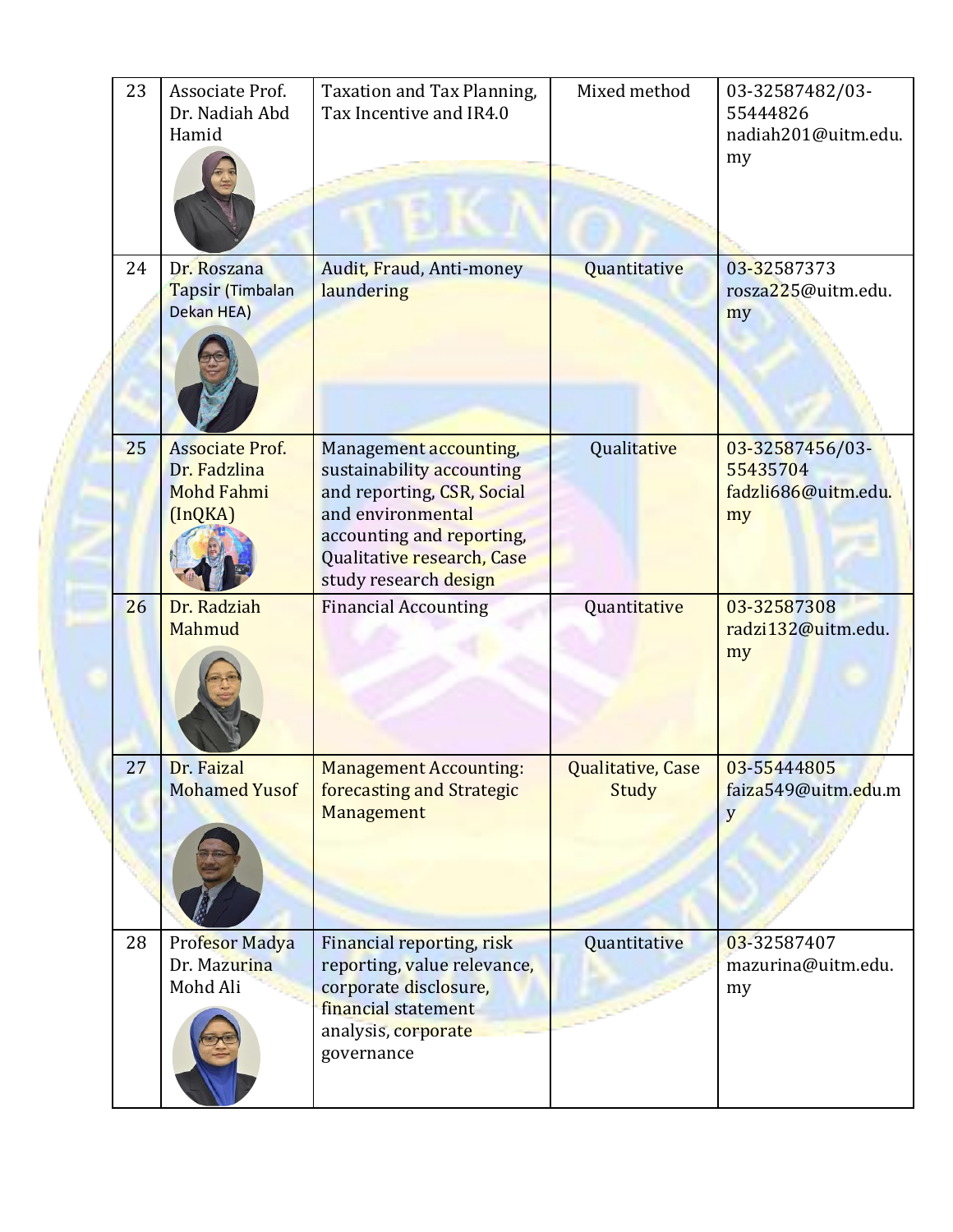| 23 | Associate Prof.<br>Dr. Nadiah Abd<br>Hamid                                   | Taxation and Tax Planning,<br>Tax Incentive and IR4.0                                                                                                                                      | Mixed method               | 03-32587482/03-<br>55444826<br>nadiah201@uitm.edu.<br>my |
|----|------------------------------------------------------------------------------|--------------------------------------------------------------------------------------------------------------------------------------------------------------------------------------------|----------------------------|----------------------------------------------------------|
| 24 | Dr. Roszana<br>Tapsir (Timbalan<br>Dekan HEA)                                | Audit, Fraud, Anti-money<br>laundering                                                                                                                                                     | Quantitative               | 03-32587373<br>rosza225@uitm.edu.<br>my                  |
| 25 | <b>Associate Prof.</b><br>Dr. Fadzlina<br><b>Mohd Fahmi</b><br>$($ InQKA $)$ | Management accounting,<br>sustainability accounting<br>and reporting, CSR, Social<br>and environmental<br>accounting and reporting,<br>Qualitative research, Case<br>study research design | Qualitative                | 03-32587456/03-<br>55435704<br>fadzli686@uitm.edu.<br>my |
| 26 | Dr. Radziah<br>Mahmud                                                        | <b>Financial Accounting</b>                                                                                                                                                                | Quantitative               | 03-32587308<br>radzi132@uitm.edu.<br>my                  |
| 27 | Dr. Faizal<br><b>Mohamed Yusof</b>                                           | <b>Management Accounting:</b><br>forecasting and Strategic<br>Management                                                                                                                   | Qualitative, Case<br>Study | 03-55444805<br>faiza549@uitm.edu.m<br>y                  |
| 28 | Profesor Madya<br>Dr. Mazurina<br>Mohd Ali                                   | Financial reporting, risk<br>reporting, value relevance,<br>corporate disclosure,<br>financial statement<br>analysis, corporate<br>governance                                              | Quantitative               | 03-32587407<br>mazurina@uitm.edu.<br>my                  |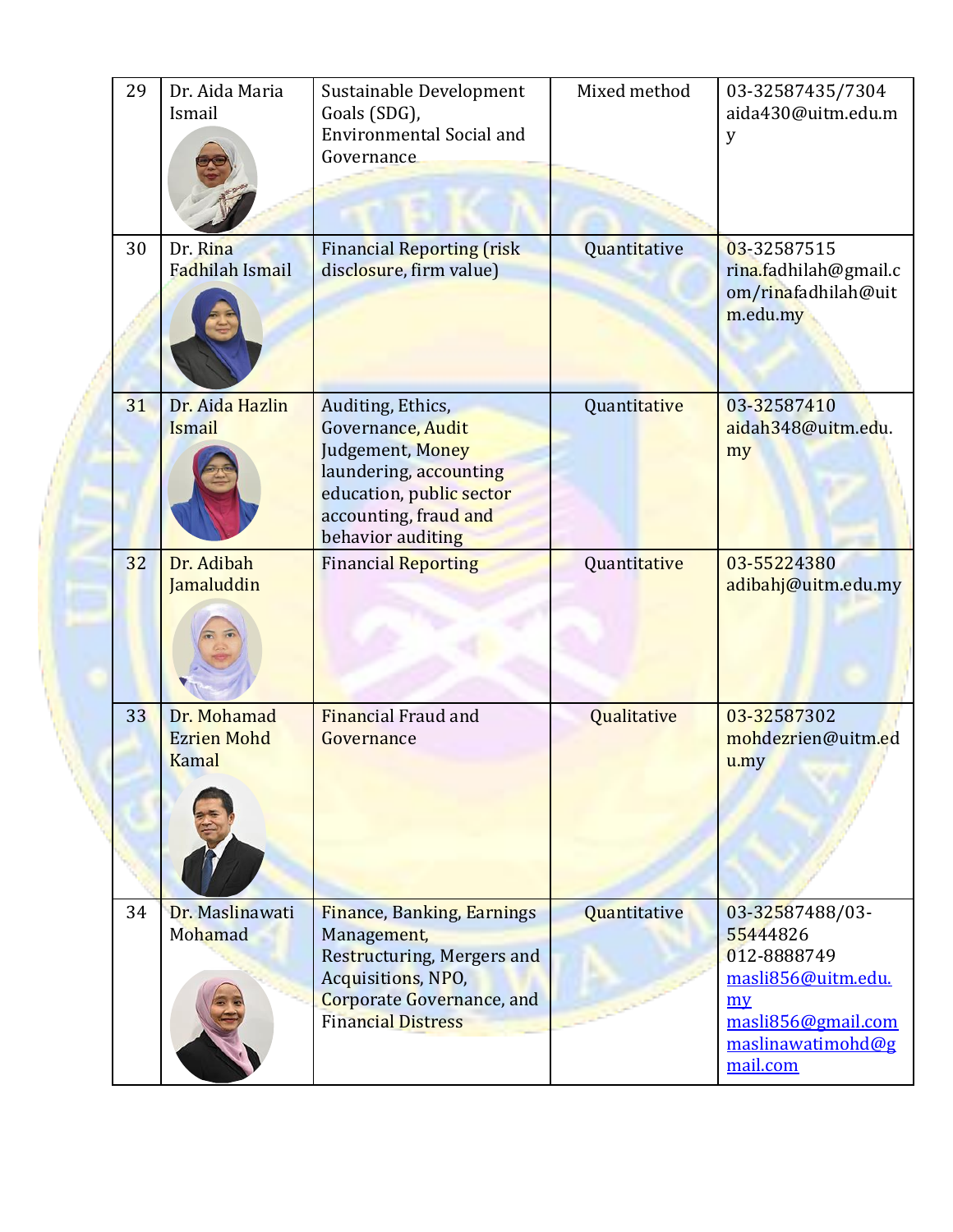| 29 | Dr. Aida Maria<br>Ismail                          | Sustainable Development<br>Goals (SDG),<br><b>Environmental Social and</b><br>Governance                                                                       | Mixed method | 03-32587435/7304<br>aida430@uitm.edu.m<br>y                                                                                   |
|----|---------------------------------------------------|----------------------------------------------------------------------------------------------------------------------------------------------------------------|--------------|-------------------------------------------------------------------------------------------------------------------------------|
| 30 | Dr. Rina<br>Fadhilah Ismail                       | <b>Financial Reporting (risk)</b><br>disclosure, firm value)                                                                                                   | Quantitative | 03-32587515<br>rina.fadhilah@gmail.c<br>om/rinafadhilah@uit<br>m.edu.my                                                       |
| 31 | Dr. Aida Hazlin<br>Ismail                         | Auditing, Ethics,<br>Governance, Audit<br>Judgement, Money<br>laundering, accounting<br>education, public sector<br>accounting, fraud and<br>behavior auditing | Quantitative | 03-32587410<br>aidah348@uitm.edu.<br>my                                                                                       |
| 32 | Dr. Adibah<br>Jamaluddin                          | <b>Financial Reporting</b>                                                                                                                                     | Quantitative | 03-55224380<br>adibahj@uitm.edu.my                                                                                            |
| 33 | Dr. Mohamad<br><b>Ezrien Mohd</b><br><b>Kamal</b> | <b>Financial Fraud and</b><br>Governance                                                                                                                       | Qualitative  | 03-32587302<br>mohdezrien@uitm.ed<br>u.my                                                                                     |
| 34 | Dr. Maslinawati<br>Mohamad                        | Finance, Banking, Earnings<br>Management,<br>Restructuring, Mergers and<br>Acquisitions, NPO,<br><b>Corporate Governance, and</b><br><b>Financial Distress</b> | Quantitative | 03-32587488/03-<br>55444826<br>012-8888749<br>masli856@uitm.edu.<br>my<br>masli856@gmail.com<br>maslinawatimohd@g<br>mail.com |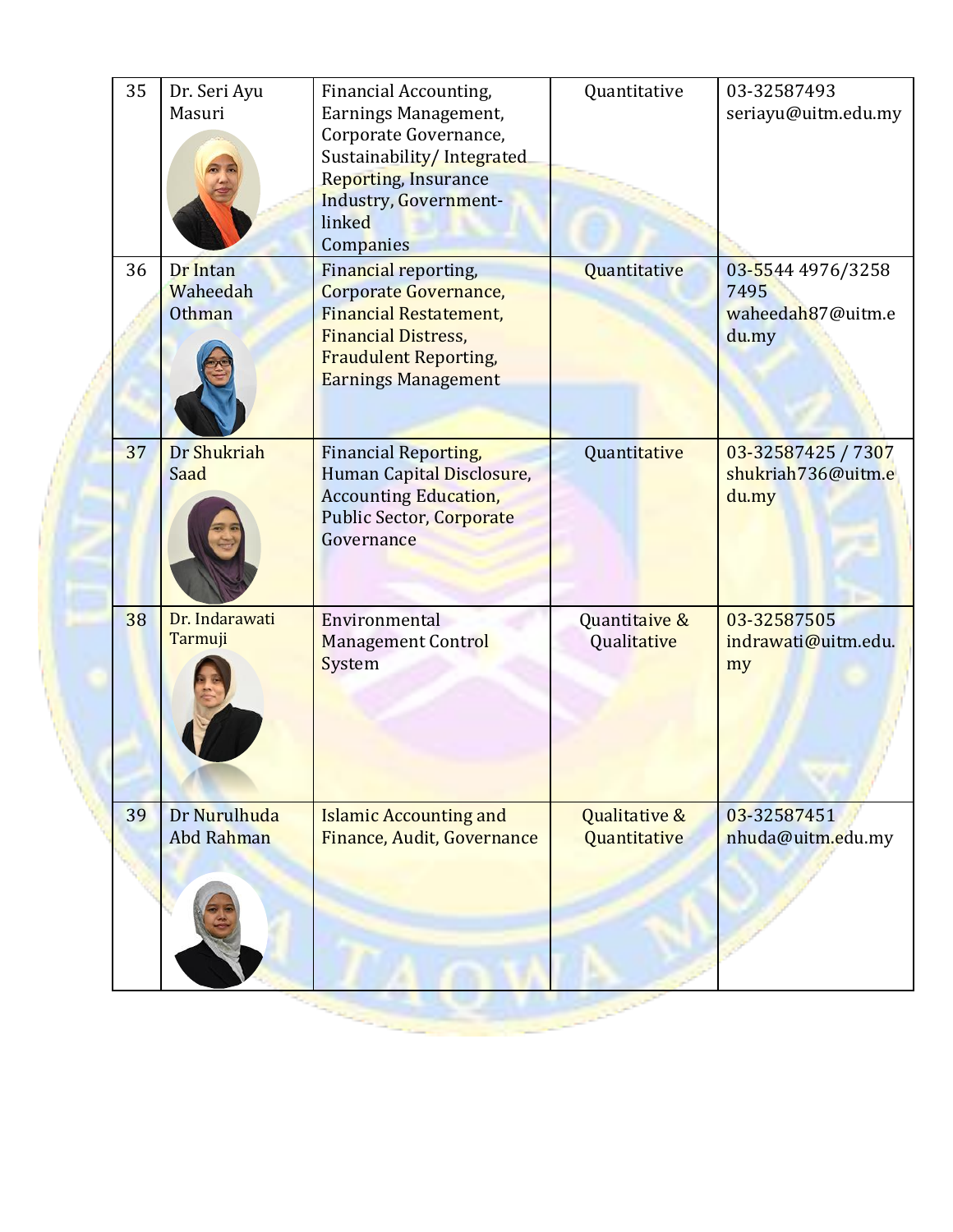| Dr. Seri Ayu<br>Masuri         | Financial Accounting,<br>Earnings Management,<br>Corporate Governance,<br>Sustainability/Integrated<br><b>Reporting, Insurance</b><br>Industry, Government-<br>linked<br>Companies | Quantitative                  | 03-32587493<br>seriayu@uitm.edu.my                      |
|--------------------------------|------------------------------------------------------------------------------------------------------------------------------------------------------------------------------------|-------------------------------|---------------------------------------------------------|
| Dr Intan<br>Waheedah<br>Othman | Financial reporting,<br><b>Corporate Governance,</b><br><b>Financial Restatement,</b><br><b>Financial Distress,</b><br><b>Fraudulent Reporting,</b><br><b>Earnings Management</b>  | Quantitative                  | 03-5544 4976/3258<br>7495<br>waheedah87@uitm.e<br>du.my |
| Dr Shukriah<br>Saad            | <b>Financial Reporting,</b><br>Human Capital Disclosure,<br><b>Accounting Education,</b><br><b>Public Sector, Corporate</b><br>Governance                                          | Quantitative                  | 03-32587425 / 7307<br>shukriah736@uitm.e<br>du.my       |
| Dr. Indarawati<br>Tarmuji      | Environmental<br><b>Management Control</b><br>System                                                                                                                               | Quantitaive &<br>Qualitative  | 03-32587505<br>indrawati@uitm.edu.<br>my                |
| Dr Nurulhuda<br>Abd Rahman     | <b>Islamic Accounting and</b><br>Finance, Audit, Governance                                                                                                                        | Qualitative &<br>Quantitative | 03-32587451<br>nhuda@uitm.edu.my                        |
|                                |                                                                                                                                                                                    |                               |                                                         |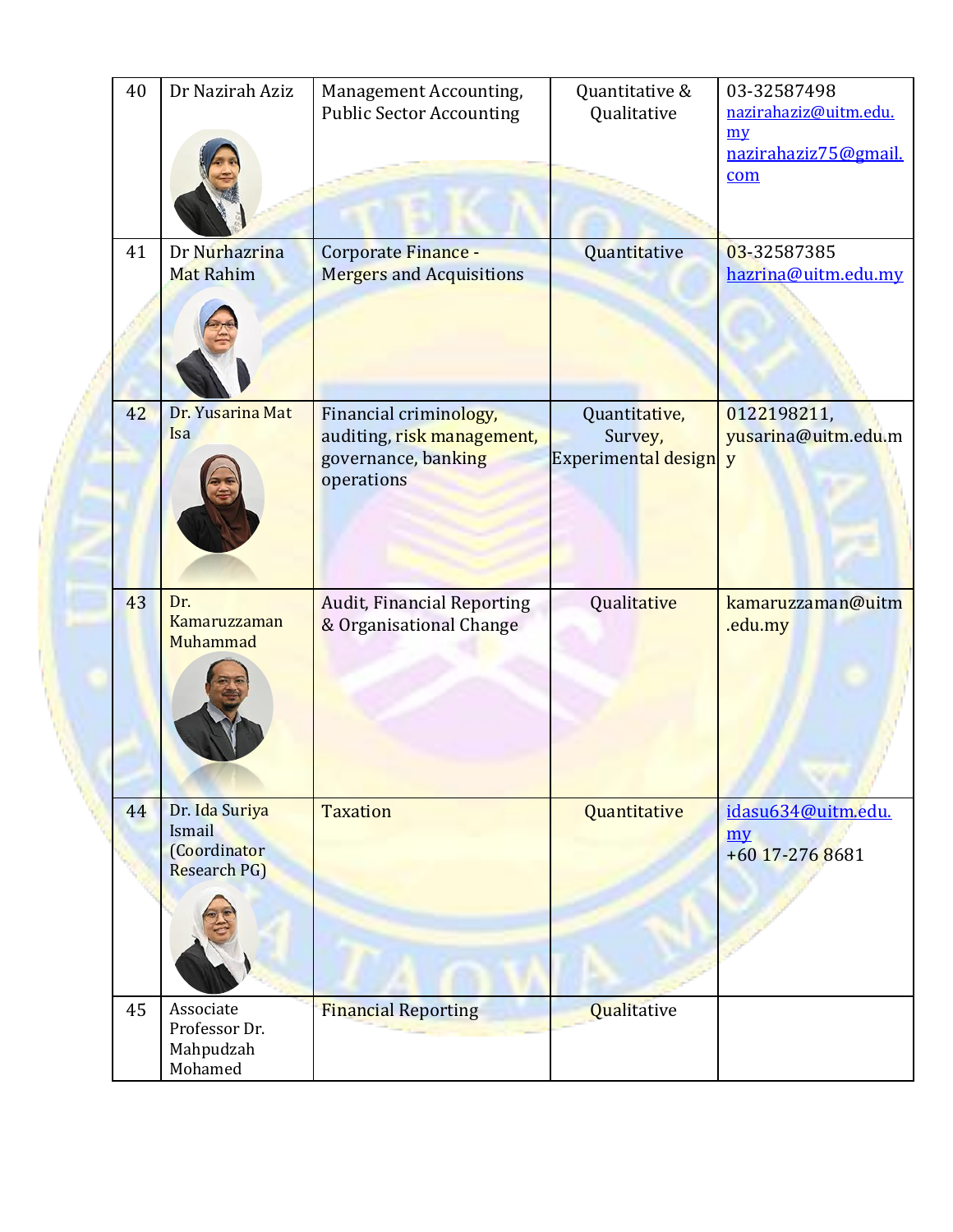| 40 | Dr Nazirah Aziz                                                 | Management Accounting,<br><b>Public Sector Accounting</b>                                 | Quantitative &<br>Qualitative                   | 03-32587498<br>nazirahaziz@uitm.edu.<br>m <sub>V</sub><br>nazirahaziz75@gmail.<br>com |
|----|-----------------------------------------------------------------|-------------------------------------------------------------------------------------------|-------------------------------------------------|---------------------------------------------------------------------------------------|
| 41 | Dr Nurhazrina<br><b>Mat Rahim</b>                               | Corporate Finance -<br><b>Mergers and Acquisitions</b>                                    | Quantitative                                    | 03-32587385<br>hazrina@uitm.edu.my                                                    |
| 42 | Dr. Yusarina Mat<br>Isa                                         | Financial criminology,<br>auditing, risk management,<br>governance, banking<br>operations | Quantitative,<br>Survey,<br>Experimental design | 0122198211,<br>yusarina@uitm.edu.m<br>y                                               |
| 43 | Dr.<br>Kamaruzzaman<br>Muhammad                                 | <b>Audit, Financial Reporting</b><br>& Organisational Change                              | Qualitative                                     | kamaruzzaman@uitm<br>.edu.my                                                          |
| 44 | Dr. Ida Suriya<br>Ismail<br>(Coordinator<br><b>Research PG)</b> | <b>Taxation</b>                                                                           | Quantitative                                    | idasu634@uitm.edu.<br>m <sub>V</sub><br>+60 17-276 8681                               |
| 45 | Associate<br>Professor Dr.<br>Mahpudzah<br>Mohamed              | <b>Financial Reporting</b>                                                                | Qualitative                                     |                                                                                       |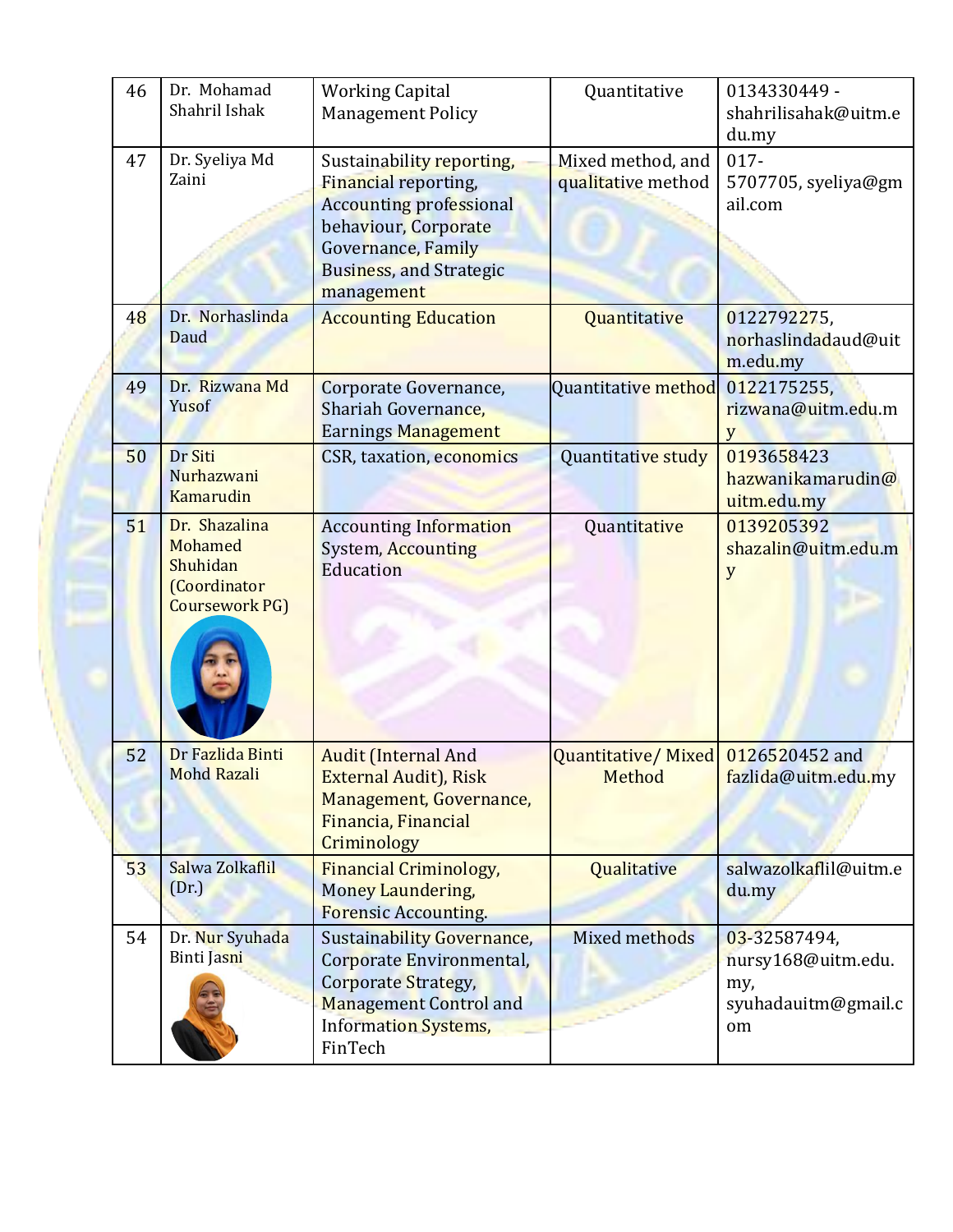| 46 | Dr. Mohamad<br>Shahril Ishak                                                         | <b>Working Capital</b><br><b>Management Policy</b>                                                                                                                                       | Quantitative                            | 0134330449 -<br>shahrilisahak@uitm.e<br>du.my                          |
|----|--------------------------------------------------------------------------------------|------------------------------------------------------------------------------------------------------------------------------------------------------------------------------------------|-----------------------------------------|------------------------------------------------------------------------|
| 47 | Dr. Syeliya Md<br>Zaini                                                              | Sustainability reporting,<br><b>Financial reporting,</b><br><b>Accounting professional</b><br>behaviour, Corporate<br>Governance, Family<br><b>Business, and Strategic</b><br>management | Mixed method, and<br>qualitative method | $017 -$<br>5707705, syeliya@gm<br>ail.com                              |
| 48 | Dr. Norhaslinda<br>Daud                                                              | <b>Accounting Education</b>                                                                                                                                                              | Quantitative                            | 0122792275,<br>norhaslindadaud@uit<br>m.edu.my                         |
| 49 | Dr. Rizwana Md<br>Yusof                                                              | Corporate Governance,<br>Shariah Governance,<br><b>Earnings Management</b>                                                                                                               | Quantitative method                     | 0122175255,<br>rizwana@uitm.edu.m<br>y                                 |
| 50 | Dr Siti<br>Nurhazwani<br>Kamarudin                                                   | CSR, taxation, economics                                                                                                                                                                 | Quantitative study                      | 0193658423<br>hazwanikamarudin@<br>uitm.edu.my                         |
| 51 | Dr. Shazalina<br><b>Mohamed</b><br>Shuhidan<br>(Coordinator<br><b>Coursework PG)</b> | <b>Accounting Information</b><br><b>System, Accounting</b><br>Education                                                                                                                  | Quantitative                            | 0139205392<br>shazalin@uitm.edu.m<br>y                                 |
| 52 | Dr Fazlida Binti<br><b>Mohd Razali</b>                                               | <b>Audit (Internal And</b><br>External Audit), Risk<br>Management, Governance,<br>Financia, Financial<br>Criminology                                                                     | Quantitative/Mixed<br>Method            | 0126520452 and<br>fazlida@uitm.edu.my                                  |
| 53 | Salwa Zolkaflil<br>(Dr.)                                                             | <b>Financial Criminology,</b><br><b>Money Laundering,</b><br><b>Forensic Accounting.</b>                                                                                                 | Qualitative                             | salwazolkaflil@uitm.e<br>du.my                                         |
| 54 | Dr. Nur Syuhada<br>Binti Jasni                                                       | <b>Sustainability Governance,</b><br>Corporate Environmental,<br>Corporate Strategy,<br><b>Management Control and</b><br><b>Information Systems,</b><br>FinTech                          | <b>Mixed methods</b>                    | 03-32587494,<br>nursy168@uitm.edu.<br>my,<br>syuhadauitm@gmail.c<br>om |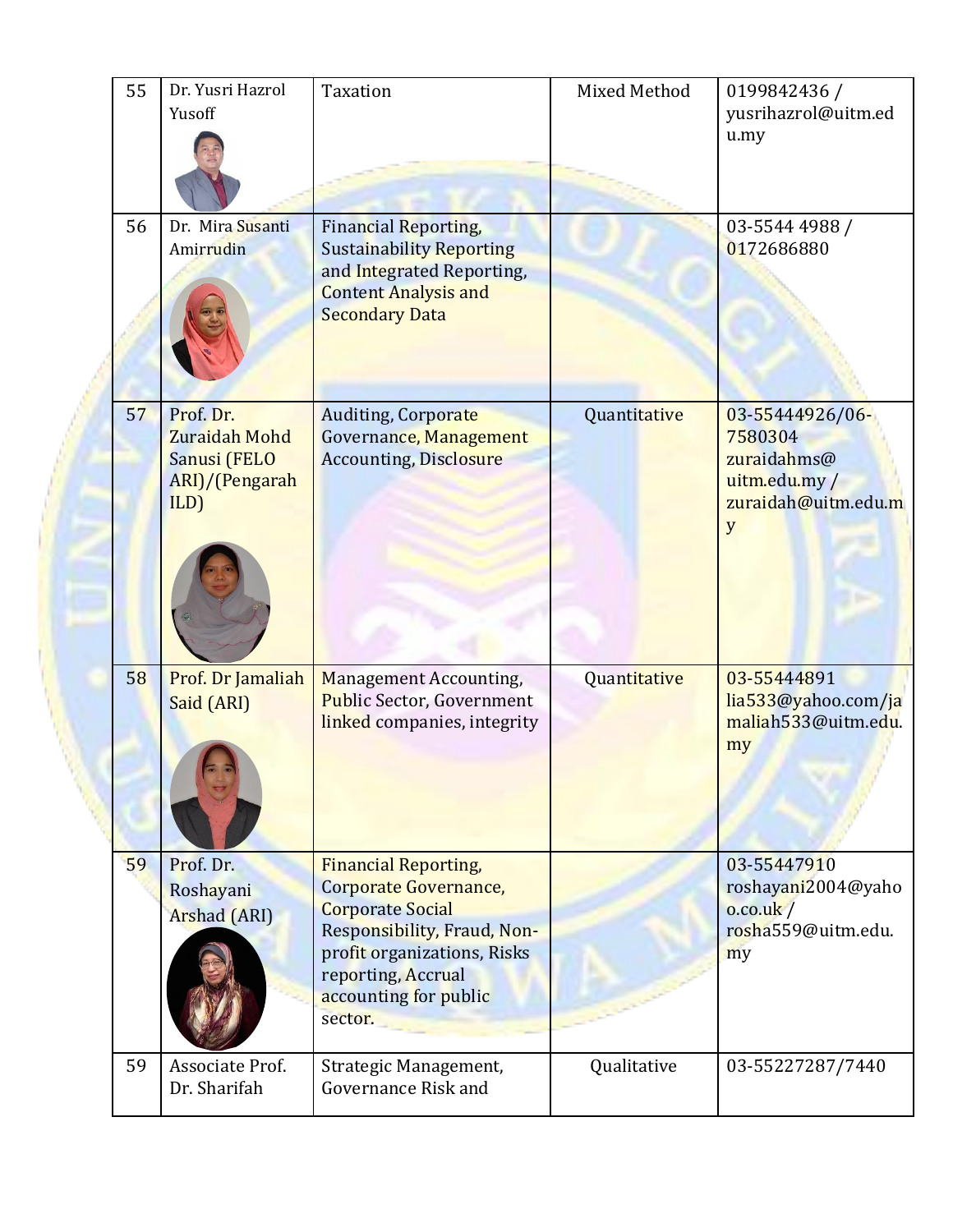|  | 55 | Dr. Yusri Hazrol<br>Yusoff                                                  | Taxation                                                                                                                                                                                                | Mixed Method | 0199842436 /<br>yusrihazrol@uitm.ed<br>u.my                                           |
|--|----|-----------------------------------------------------------------------------|---------------------------------------------------------------------------------------------------------------------------------------------------------------------------------------------------------|--------------|---------------------------------------------------------------------------------------|
|  | 56 | Dr. Mira Susanti<br>Amirrudin                                               | <b>Financial Reporting</b><br><b>Sustainability Reporting</b><br>and Integrated Reporting,<br><b>Content Analysis and</b><br><b>Secondary Data</b>                                                      |              | 03-5544 4988 /<br>0172686880                                                          |
|  | 57 | Prof. Dr.<br><b>Zuraidah Mohd</b><br>Sanusi (FELO<br>ARI)/(Pengarah<br>ILD) | <b>Auditing, Corporate</b><br>Governance, Management<br><b>Accounting, Disclosure</b>                                                                                                                   | Quantitative | 03-55444926/06-<br>7580304<br>zuraidahms@<br>uitm.edu.my/<br>zuraidah@uitm.edu.m<br>y |
|  | 58 | Prof. Dr Jamaliah<br>Said (ARI)                                             | <b>Management Accounting,</b><br><b>Public Sector, Government</b><br>linked companies, integrity                                                                                                        | Quantitative | 03-55444891<br>lia533@yahoo.com/ja<br>maliah533@uitm.edu.<br>my                       |
|  | 59 | Prof. Dr.<br>Roshayani<br><b>Arshad (ARI)</b>                               | <b>Financial Reporting,</b><br>Corporate Governance,<br><b>Corporate Social</b><br>Responsibility, Fraud, Non-<br>profit organizations, Risks<br>reporting, Accrual<br>accounting for public<br>sector. |              | 03-55447910<br>roshayani2004@yaho<br>$0.$ co.uk /<br>rosha559@uitm.edu.<br>my         |
|  | 59 | Associate Prof.<br>Dr. Sharifah                                             | Strategic Management,<br>Governance Risk and                                                                                                                                                            | Qualitative  | 03-55227287/7440                                                                      |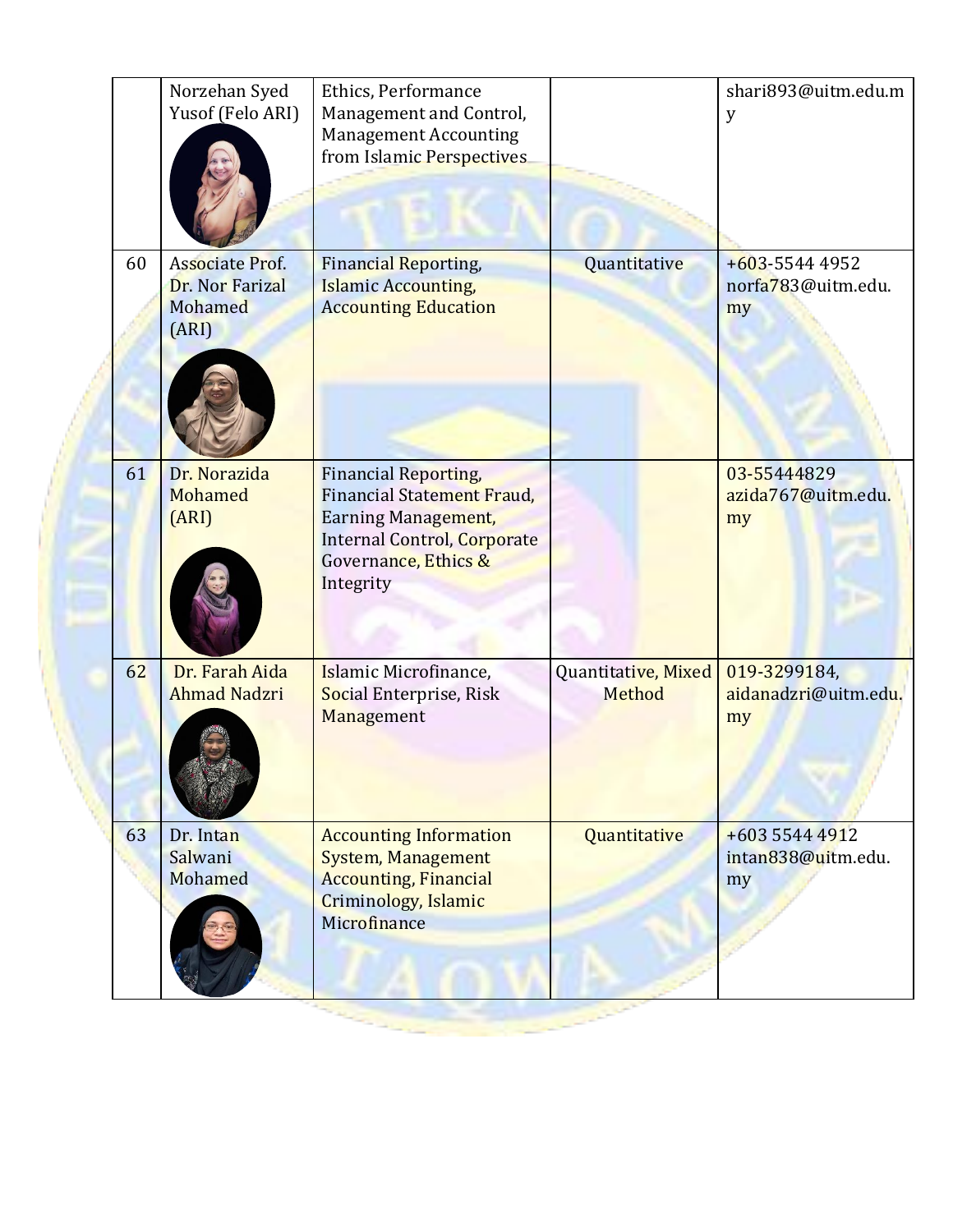|    | Norzehan Syed<br>Yusof (Felo ARI)                             | Ethics, Performance<br>Management and Control,<br><b>Management Accounting</b><br>from Islamic Perspectives                                                        |                               | shari893@uitm.edu.m<br>y                      |
|----|---------------------------------------------------------------|--------------------------------------------------------------------------------------------------------------------------------------------------------------------|-------------------------------|-----------------------------------------------|
| 60 | <b>Associate Prof.</b><br>Dr. Nor Farizal<br>Mohamed<br>(ARI) | <b>Financial Reporting,</b><br><b>Islamic Accounting,</b><br><b>Accounting Education</b>                                                                           | Quantitative                  | $+603 - 55444952$<br>norfa783@uitm.edu.<br>my |
| 61 | Dr. Norazida<br>Mohamed<br>(ARI)                              | <b>Financial Reporting,</b><br><b>Financial Statement Fraud,</b><br><b>Earning Management,</b><br>Internal Control, Corporate<br>Governance, Ethics &<br>Integrity |                               | 03-55444829<br>azida767@uitm.edu.<br>my       |
| 62 | Dr. Farah Aida<br><b>Ahmad Nadzri</b>                         | Islamic Microfinance,<br>Social Enterprise, Risk<br>Management                                                                                                     | Quantitative, Mixed<br>Method | 019-3299184,<br>aidanadzri@uitm.edu.<br>my    |
| 63 | Dr. Intan<br>Salwani<br>Mohamed                               | <b>Accounting Information</b><br><b>System, Management</b><br><b>Accounting, Financial</b><br>Criminology, Islamic<br>Microfinance                                 | Quantitative                  | +603 5544 4912<br>intan838@uitm.edu.<br>my    |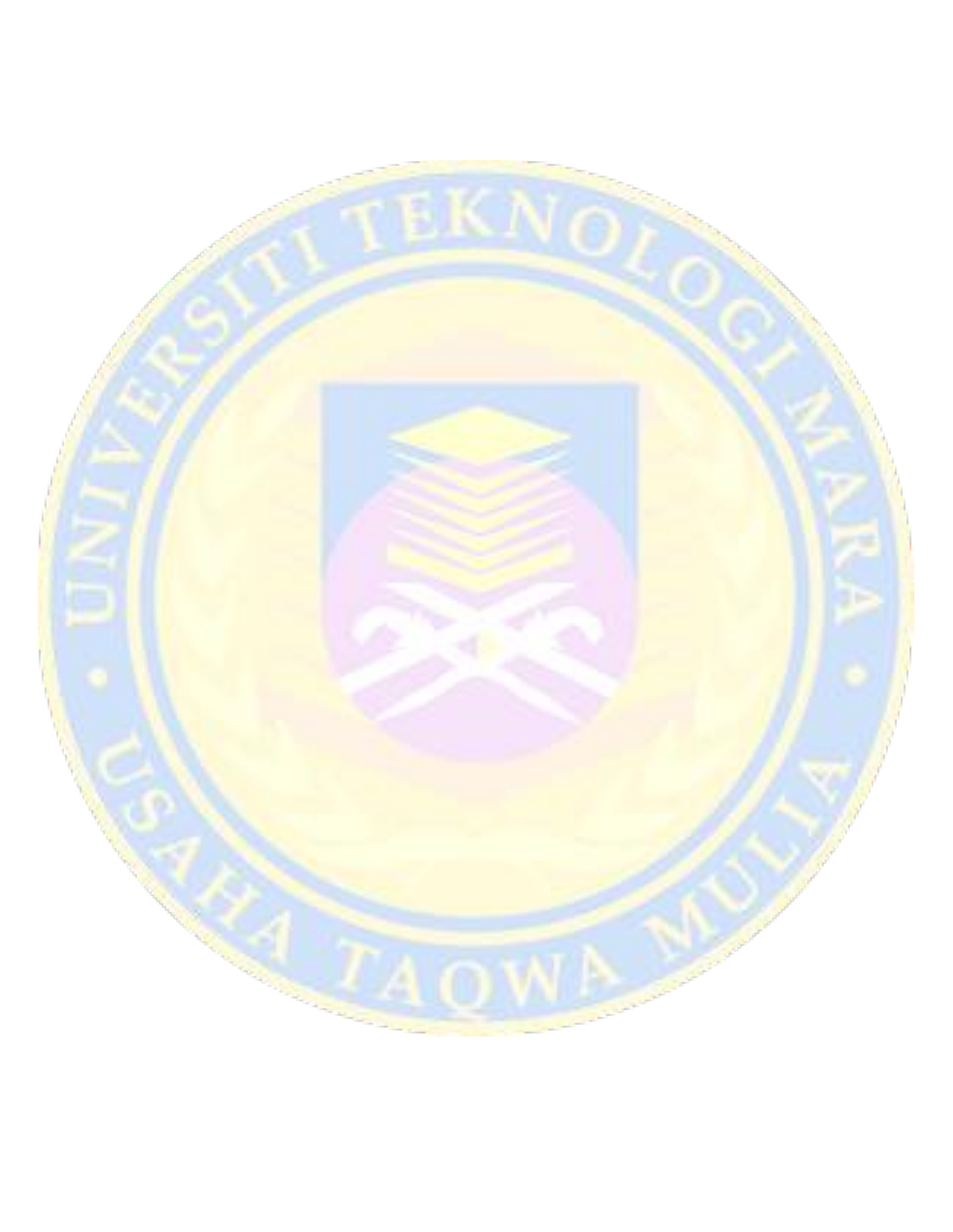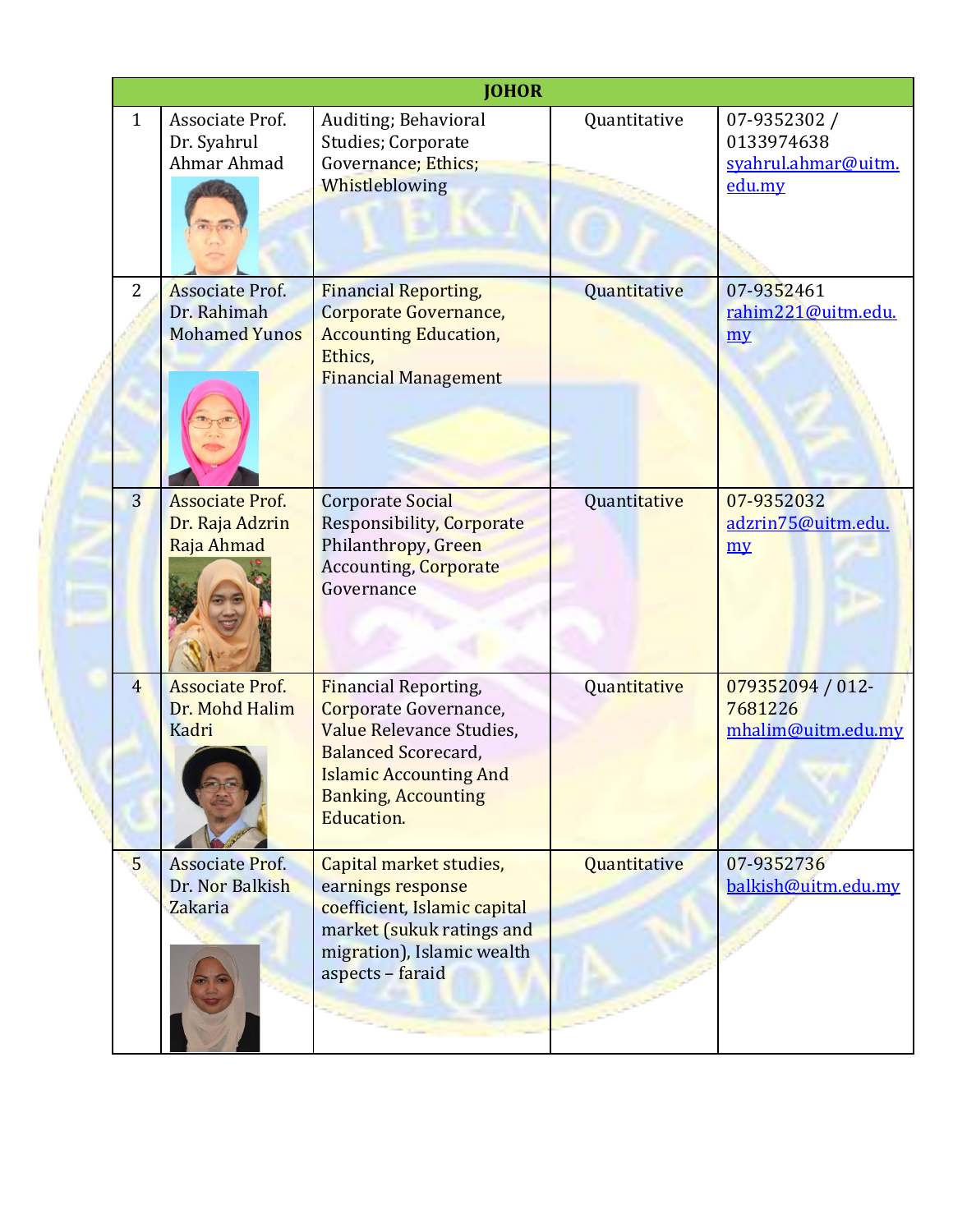|                |                                                               | <b>JOHOR</b>                                                                                                                                                                               |              |                                                             |
|----------------|---------------------------------------------------------------|--------------------------------------------------------------------------------------------------------------------------------------------------------------------------------------------|--------------|-------------------------------------------------------------|
| $\mathbf{1}$   | Associate Prof.<br>Dr. Syahrul<br>Ahmar Ahmad                 | Auditing; Behavioral<br>Studies; Corporate<br>Governance; Ethics;<br>Whistleblowing                                                                                                        | Quantitative | 07-9352302 /<br>0133974638<br>syahrul.ahmar@uitm.<br>edu.my |
| $\overline{2}$ | <b>Associate Prof.</b><br>Dr. Rahimah<br><b>Mohamed Yunos</b> | <b>Financial Reporting,</b><br><b>Corporate Governance,</b><br><b>Accounting Education,</b><br>Ethics,<br><b>Financial Management</b>                                                      | Quantitative | 07-9352461<br>rahim221@uitm.edu.<br>$m$ y                   |
| 3              | <b>Associate Prof.</b><br>Dr. Raja Adzrin<br>Raja Ahmad       | <b>Corporate Social</b><br>Responsibility, Corporate<br>Philanthropy, Green<br><b>Accounting, Corporate</b><br>Governance                                                                  | Quantitative | 07-9352032<br>adzrin75@uitm.edu.<br>m <sub>y</sub>          |
| $\overline{4}$ | <b>Associate Prof.</b><br>Dr. Mohd Halim<br>Kadri             | <b>Financial Reporting</b><br>Corporate Governance,<br>Value Relevance Studies,<br><b>Balanced Scorecard,</b><br><b>Islamic Accounting And</b><br><b>Banking, Accounting</b><br>Education. | Quantitative | 079352094 / 012-<br>7681226<br>mhalim@uitm.edu.my           |
| 5 <sup>1</sup> | <b>Associate Prof.</b><br>Dr. Nor Balkish<br><b>Zakaria</b>   | Capital market studies,<br>earnings response<br>coefficient, Islamic capital<br>market (sukuk ratings and<br>migration), Islamic wealth<br>aspects - faraid                                | Quantitative | 07-9352736<br>balkish@uitm.edu.my                           |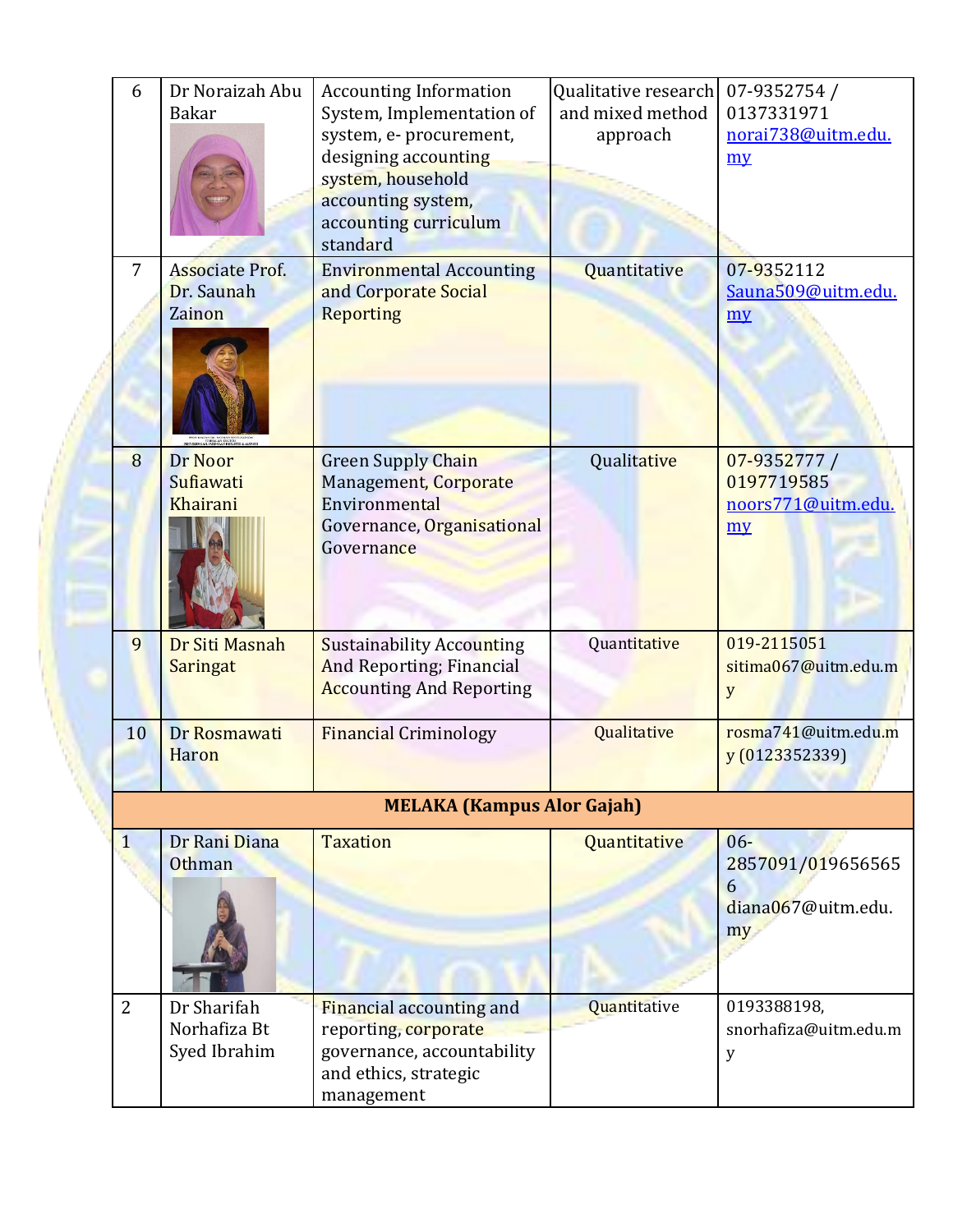| 6                                 | Dr Noraizah Abu<br>Bakar                       | <b>Accounting Information</b><br>System, Implementation of<br>system, e- procurement,<br>designing accounting<br>system, household<br>accounting system,<br>accounting curriculum<br>standard | Qualitative research <br>and mixed method<br>approach | 07-9352754 /<br>0137331971<br>norai738@uitm.edu.<br>m <sub>V</sub> |
|-----------------------------------|------------------------------------------------|-----------------------------------------------------------------------------------------------------------------------------------------------------------------------------------------------|-------------------------------------------------------|--------------------------------------------------------------------|
| 7                                 | <b>Associate Prof.</b><br>Dr. Saunah<br>Zainon | <b>Environmental Accounting</b><br>and Corporate Social<br><b>Reporting</b>                                                                                                                   | Quantitative                                          | 07-9352112<br>Sauna509@uitm.edu.<br>m <sub>y</sub>                 |
| 8                                 | Dr Noor<br>Sufiawati<br><b>Khairani</b>        | <b>Green Supply Chain</b><br>Management, Corporate<br>Environmental<br>Governance, Organisational<br>Governance                                                                               | Qualitative                                           | 07-9352777 /<br>0197719585<br>noors771@uitm.edu.<br>m <sub>y</sub> |
| 9                                 | Dr Siti Masnah<br>Saringat                     | Sustainability Accounting<br><b>And Reporting; Financial</b><br><b>Accounting And Reporting</b>                                                                                               | Quantitative                                          | 019-2115051<br>sitima067@uitm.edu.m<br>y                           |
| 10                                | Dr Rosmawati<br>Haron                          | <b>Financial Criminology</b>                                                                                                                                                                  | Qualitative                                           | rosma741@uitm.edu.m<br>y (0123352339)                              |
| <b>MELAKA (Kampus Alor Gajah)</b> |                                                |                                                                                                                                                                                               |                                                       |                                                                    |
| $\mathbf{1}$                      | Dr Rani Diana<br>Othman                        | <b>Taxation</b>                                                                                                                                                                               | Quantitative                                          | $06 -$<br>2857091/019656565<br>6<br>diana067@uitm.edu.<br>my       |
| $\overline{2}$                    | Dr Sharifah<br>Norhafiza Bt<br>Syed Ibrahim    | <b>Financial accounting and</b><br>reporting, corporate<br>governance, accountability<br>and ethics, strategic<br>management                                                                  | Quantitative                                          | 0193388198,<br>snorhafiza@uitm.edu.m<br>y                          |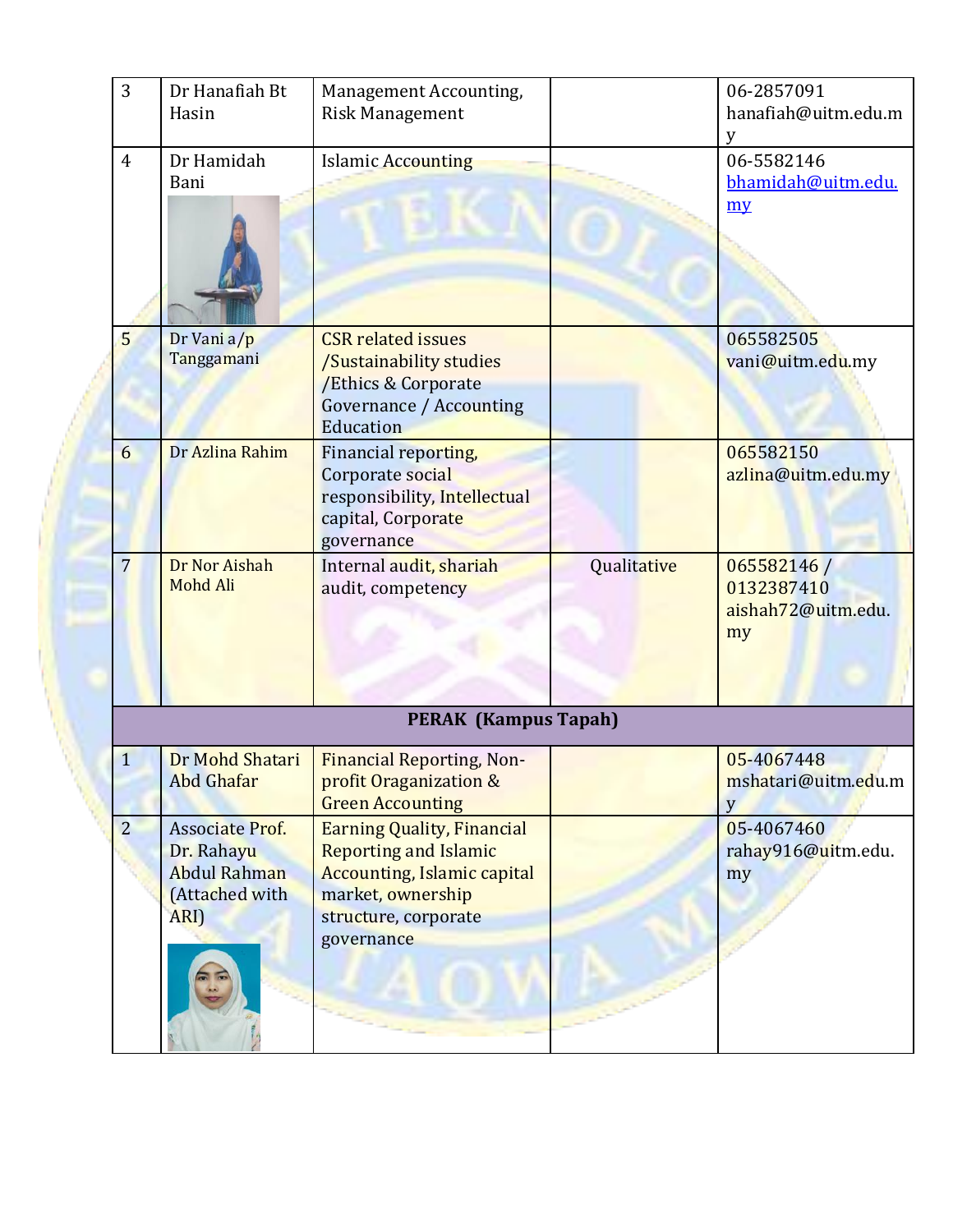| 3              | Dr Hanafiah Bt<br>Hasin                                                               | Management Accounting,<br>Risk Management                                                                                                                          |             | 06-2857091<br>hanafiah@uitm.edu.m<br>y                |
|----------------|---------------------------------------------------------------------------------------|--------------------------------------------------------------------------------------------------------------------------------------------------------------------|-------------|-------------------------------------------------------|
| $\overline{4}$ | Dr Hamidah<br>Bani                                                                    | <b>Islamic Accounting</b>                                                                                                                                          |             | 06-5582146<br>bhamidah@uitm.edu.<br>m <sub>V</sub>    |
| $5\overline{}$ | Dr Vani a/p<br>Tanggamani                                                             | <b>CSR</b> related issues<br>/Sustainability studies<br><b>Ethics &amp; Corporate</b><br><b>Governance / Accounting</b><br>Education                               |             | 065582505<br>vani@uitm.edu.my                         |
| 6              | Dr Azlina Rahim                                                                       | Financial reporting,<br>Corporate social<br>responsibility, Intellectual<br>capital, Corporate<br>governance                                                       |             | 065582150<br>azlina@uitm.edu.my                       |
| 7              | Dr Nor Aishah<br><b>Mohd Ali</b>                                                      | Internal audit, shariah<br>audit, competency                                                                                                                       | Qualitative | 065582146 /<br>0132387410<br>aishah72@uitm.edu.<br>my |
|                |                                                                                       | <b>PERAK (Kampus Tapah)</b>                                                                                                                                        |             |                                                       |
| $\overline{1}$ | Dr Mohd Shatari<br><b>Abd Ghafar</b>                                                  | <b>Financial Reporting, Non-</b><br>profit Oraganization &<br><b>Green Accounting</b>                                                                              |             | 05-4067448<br>mshatari@uitm.edu.m<br>y                |
| $\overline{2}$ | <b>Associate Prof.</b><br>Dr. Rahayu<br><b>Abdul Rahman</b><br>(Attached with<br>ARI) | <b>Earning Quality, Financial</b><br><b>Reporting and Islamic</b><br><b>Accounting, Islamic capital</b><br>market, ownership<br>structure, corporate<br>governance |             | 05-4067460<br>rahay916@uitm.edu.<br>my                |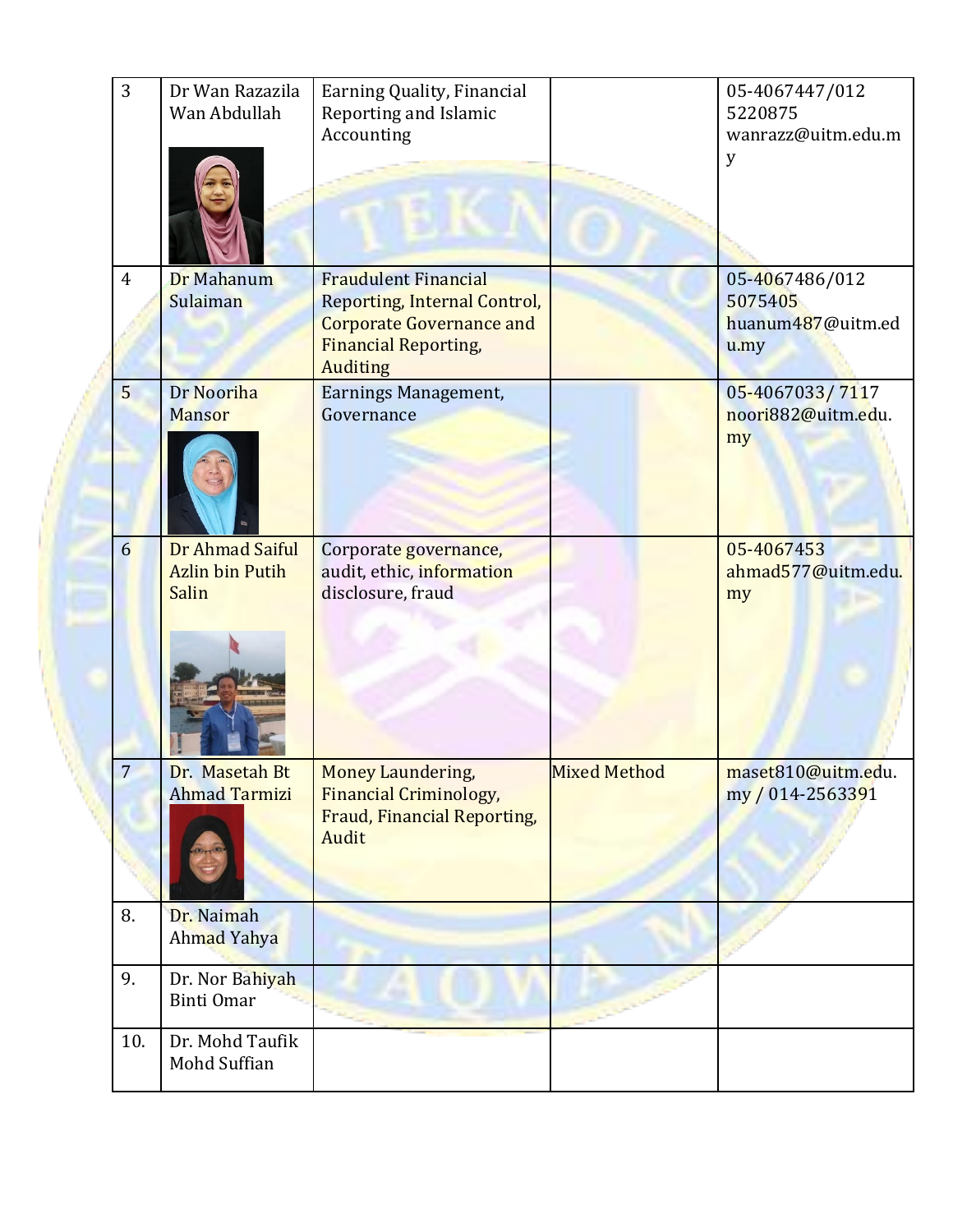| 3              | Dr Wan Razazila<br>Wan Abdullah                    | Earning Quality, Financial<br>Reporting and Islamic<br>Accounting                                                                                       |              | 05-4067447/012<br>5220875<br>wanrazz@uitm.edu.m<br>y   |
|----------------|----------------------------------------------------|---------------------------------------------------------------------------------------------------------------------------------------------------------|--------------|--------------------------------------------------------|
| $\overline{4}$ | Dr Mahanum<br>Sulaiman                             | <b>Fraudulent Financial</b><br><b>Reporting, Internal Control,</b><br><b>Corporate Governance and</b><br><b>Financial Reporting,</b><br><b>Auditing</b> |              | 05-4067486/012<br>5075405<br>huanum487@uitm.ed<br>u.my |
| 5              | Dr Nooriha<br>Mansor                               | Earnings Management,<br>Governance                                                                                                                      |              | 05-4067033/7117<br>noori882@uitm.edu.<br>my            |
| 6              | Dr Ahmad Saiful<br><b>Azlin bin Putih</b><br>Salin | Corporate governance,<br>audit, ethic, information<br>disclosure, fraud                                                                                 |              | 05-4067453<br>ahmad577@uitm.edu.<br>my                 |
| 7              | Dr. Masetah Bt<br><b>Ahmad Tarmizi</b>             | <b>Money Laundering,</b><br><b>Financial Criminology,</b><br>Fraud, Financial Reporting,<br>Audit                                                       | Mixed Method | maset810@uitm.edu.<br>my / 014-2563391                 |
| 8.             | Dr. Naimah<br>Ahmad Yahya                          |                                                                                                                                                         |              |                                                        |
| 9.             | Dr. Nor Bahiyah<br>Binti Omar                      |                                                                                                                                                         |              |                                                        |
| 10.            | Dr. Mohd Taufik<br>Mohd Suffian                    |                                                                                                                                                         |              |                                                        |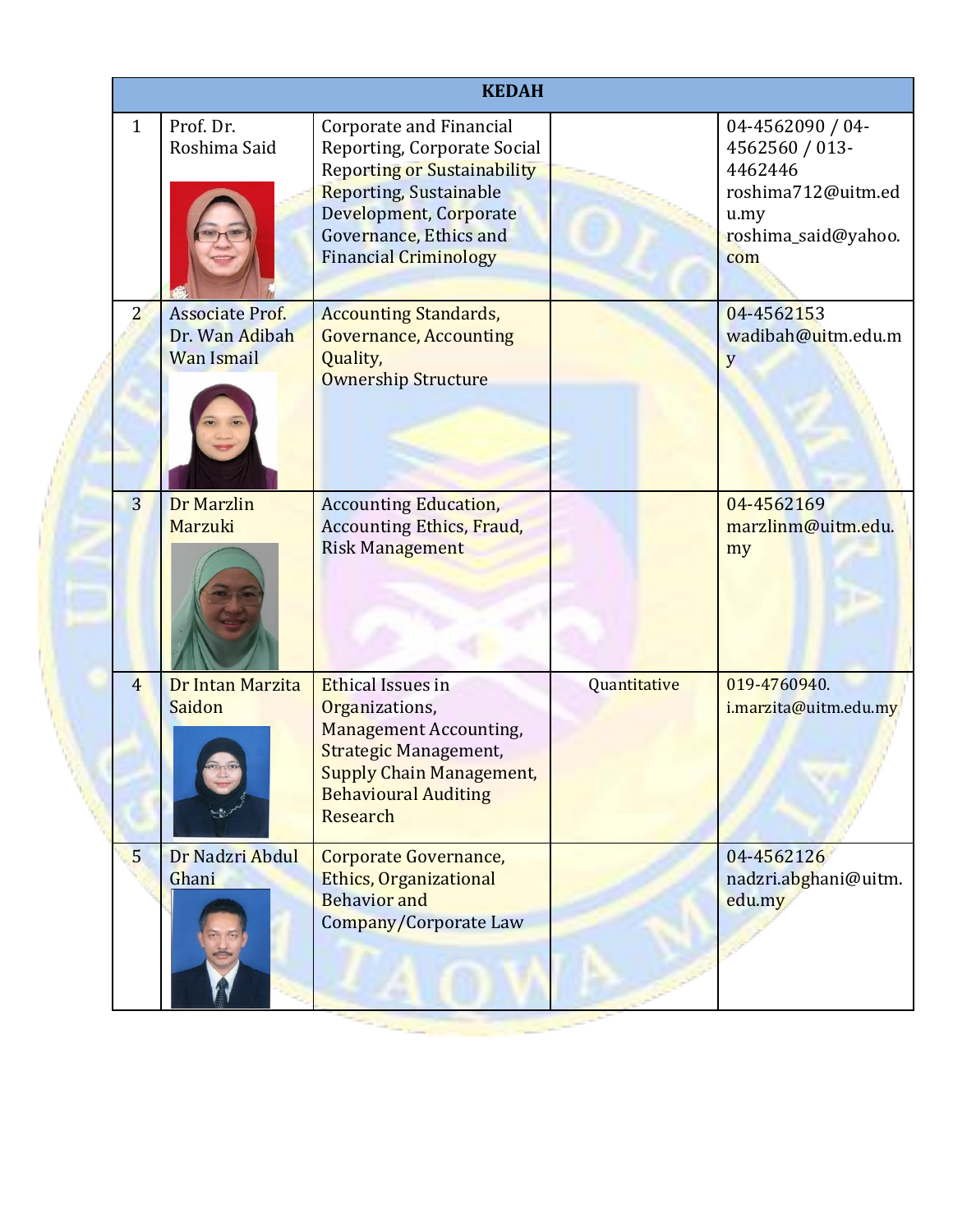|                |                                                               | <b>KEDAH</b>                                                                                                                                                                                                      |              |                                                                                                           |
|----------------|---------------------------------------------------------------|-------------------------------------------------------------------------------------------------------------------------------------------------------------------------------------------------------------------|--------------|-----------------------------------------------------------------------------------------------------------|
| $\mathbf{1}$   | Prof. Dr.<br>Roshima Said                                     | Corporate and Financial<br>Reporting, Corporate Social<br><b>Reporting or Sustainability</b><br><b>Reporting, Sustainable</b><br>Development, Corporate<br>Governance, Ethics and<br><b>Financial Criminology</b> |              | 04-4562090 / 04-<br>4562560 / 013-<br>4462446<br>roshima712@uitm.ed<br>u.my<br>roshima_said@yahoo.<br>com |
| $\overline{2}$ | <b>Associate Prof.</b><br>Dr. Wan Adibah<br><b>Wan Ismail</b> | <b>Accounting Standards,</b><br><b>Governance, Accounting</b><br>Quality,<br><b>Ownership Structure</b>                                                                                                           |              | 04-4562153<br>wadibah@uitm.edu.m<br>V                                                                     |
| 3              | Dr Marzlin<br><b>Marzuki</b>                                  | <b>Accounting Education,</b><br><b>Accounting Ethics, Fraud,</b><br><b>Risk Management</b>                                                                                                                        |              | 04-4562169<br>marzlinm@uitm.edu.<br>my                                                                    |
| $\overline{4}$ | Dr Intan Marzita<br>Saidon                                    | <b>Ethical Issues in</b><br>Organizations,<br><b>Management Accounting,</b><br><b>Strategic Management,</b><br><b>Supply Chain Management,</b><br><b>Behavioural Auditing</b><br>Research                         | Quantitative | 019-4760940.<br>i.marzita@uitm.edu.my                                                                     |
| 5              | Dr Nadzri Abdul<br>Ghani                                      | Corporate Governance,<br>Ethics, Organizational<br><b>Behavior and</b><br><b>Company/Corporate Law</b>                                                                                                            |              | 04-4562126<br>nadzri.abghani@uitm.<br>edu.my                                                              |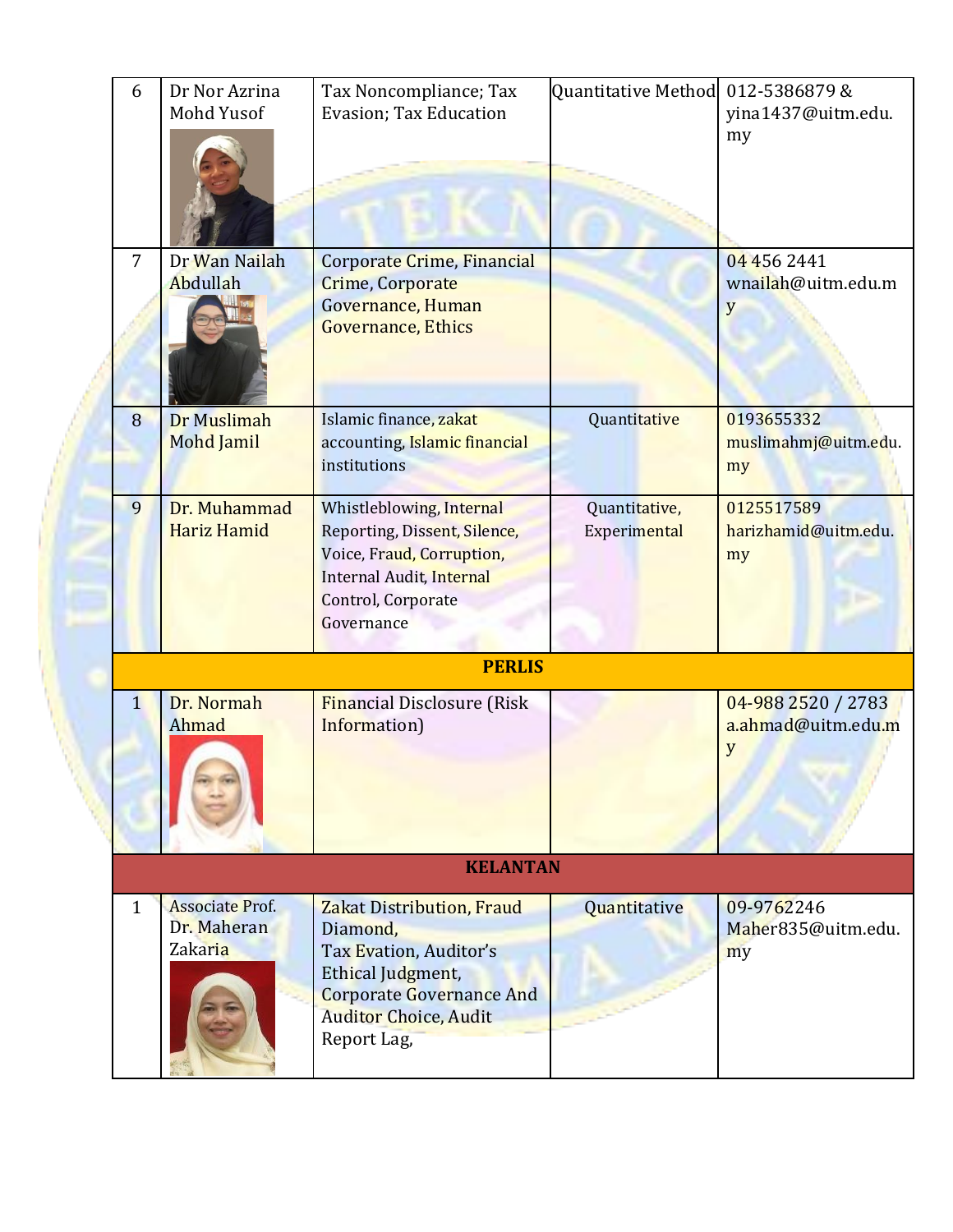| 6              | Dr Nor Azrina<br><b>Mohd Yusof</b>               | Tax Noncompliance; Tax<br><b>Evasion; Tax Education</b>                                                                                                                       | Quantitative Method                  | 012-5386879&<br>yina1437@uitm.edu.<br>my      |
|----------------|--------------------------------------------------|-------------------------------------------------------------------------------------------------------------------------------------------------------------------------------|--------------------------------------|-----------------------------------------------|
| $\overline{7}$ | Dr Wan Nailah<br>Abdullah                        | <b>Corporate Crime, Financial</b><br>Crime, Corporate<br>Governance, Human<br><b>Governance, Ethics</b>                                                                       |                                      | 04 456 2441<br>wnailah@uitm.edu.m<br>y        |
| 8              | Dr Muslimah<br>Mohd Jamil                        | Islamic finance, zakat<br>accounting, Islamic financial<br>institutions                                                                                                       | Quantitative                         | 0193655332<br>muslimahmj@uitm.edu.<br>my      |
| 9              | Dr. Muhammad<br>Hariz Hamid                      | Whistleblowing, Internal<br>Reporting, Dissent, Silence,<br>Voice, Fraud, Corruption,<br><b>Internal Audit, Internal</b><br>Control, Corporate<br>Governance                  | Quantitative,<br><b>Experimental</b> | 0125517589<br>harizhamid@uitm.edu.<br>my      |
|                |                                                  | <b>PERLIS</b>                                                                                                                                                                 |                                      |                                               |
| $\mathbf{1}$   | Dr. Normah<br>Ahmad                              | Financial Disclosure (Risk<br>Information)                                                                                                                                    |                                      | 04-988 2520 / 2783<br>a.ahmad@uitm.edu.m<br>y |
|                |                                                  | <b>KELANTAN</b>                                                                                                                                                               |                                      |                                               |
| $\mathbf{1}$   | <b>Associate Prof.</b><br>Dr. Maheran<br>Zakaria | <b>Zakat Distribution, Fraud</b><br>Diamond,<br>Tax Evation, Auditor's<br>Ethical Judgment,<br><b>Corporate Governance And</b><br><b>Auditor Choice, Audit</b><br>Report Lag, | Quantitative                         | 09-9762246<br>Maher835@uitm.edu.<br>my        |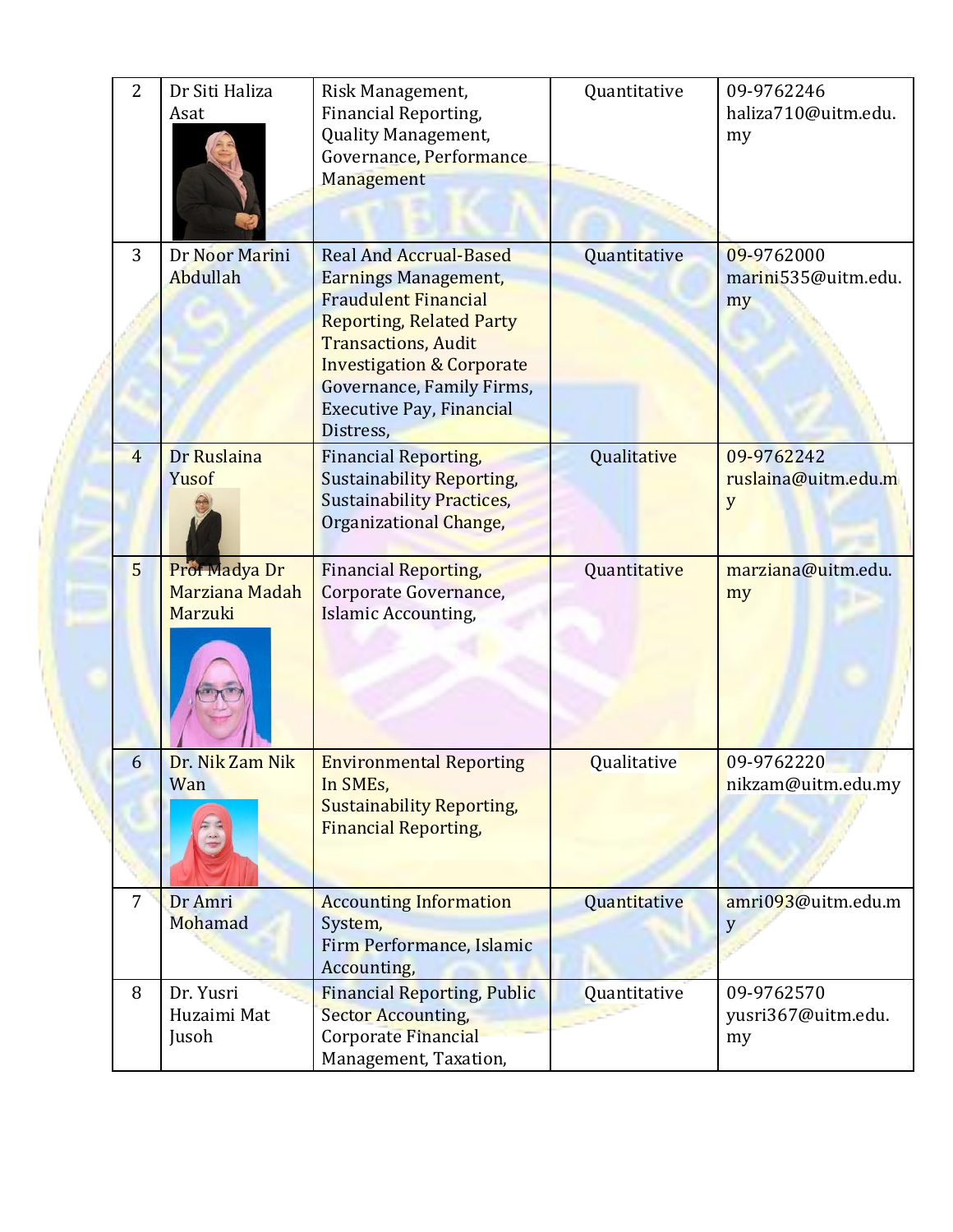| $\overline{2}$ | Dr Siti Haliza<br>Asat                            | Risk Management,<br>Financial Reporting,<br>Quality Management,<br>Governance, Performance<br>Management                                                                                                                                                                                 | Quantitative | 09-9762246<br>haliza710@uitm.edu.<br>my |
|----------------|---------------------------------------------------|------------------------------------------------------------------------------------------------------------------------------------------------------------------------------------------------------------------------------------------------------------------------------------------|--------------|-----------------------------------------|
| 3              | Dr Noor Marini<br>Abdullah                        | <b>Real And Accrual-Based</b><br><b>Earnings Management,</b><br><b>Fraudulent Financial</b><br><b>Reporting, Related Party</b><br><b>Transactions, Audit</b><br><b>Investigation &amp; Corporate</b><br><b>Governance, Family Firms,</b><br><b>Executive Pay, Financial</b><br>Distress, | Quantitative | 09-9762000<br>marini535@uitm.edu.<br>my |
| $\overline{4}$ | Dr Ruslaina<br>Yusof                              | <b>Financial Reporting,</b><br><b>Sustainability Reporting,</b><br><b>Sustainability Practices,</b><br>Organizational Change,                                                                                                                                                            | Qualitative  | 09-9762242<br>ruslaina@uitm.edu.m<br>y  |
| 5              | Prof Madya Dr<br>Marziana Madah<br><b>Marzuki</b> | <b>Financial Reporting,</b><br>Corporate Governance,<br><b>Islamic Accounting,</b>                                                                                                                                                                                                       | Quantitative | marziana@uitm.edu.<br>my                |
| 6              | Dr. Nik Zam Nik<br>Wan                            | <b>Environmental Reporting</b><br>In SME <sub>s</sub> ,<br><b>Sustainability Reporting,</b><br><b>Financial Reporting,</b>                                                                                                                                                               | Qualitative  | 09-9762220<br>nikzam@uitm.edu.my        |
| 7              | Dr Amri<br>Mohamad                                | <b>Accounting Information</b><br>System,<br>Firm Performance, Islamic<br>Accounting,                                                                                                                                                                                                     | Quantitative | amri093@uitm.edu.m<br>y                 |
| 8              | Dr. Yusri<br>Huzaimi Mat<br>Jusoh                 | <b>Financial Reporting, Public</b><br><b>Sector Accounting,</b><br>Corporate Financial<br>Management, Taxation,                                                                                                                                                                          | Quantitative | 09-9762570<br>yusri367@uitm.edu.<br>my  |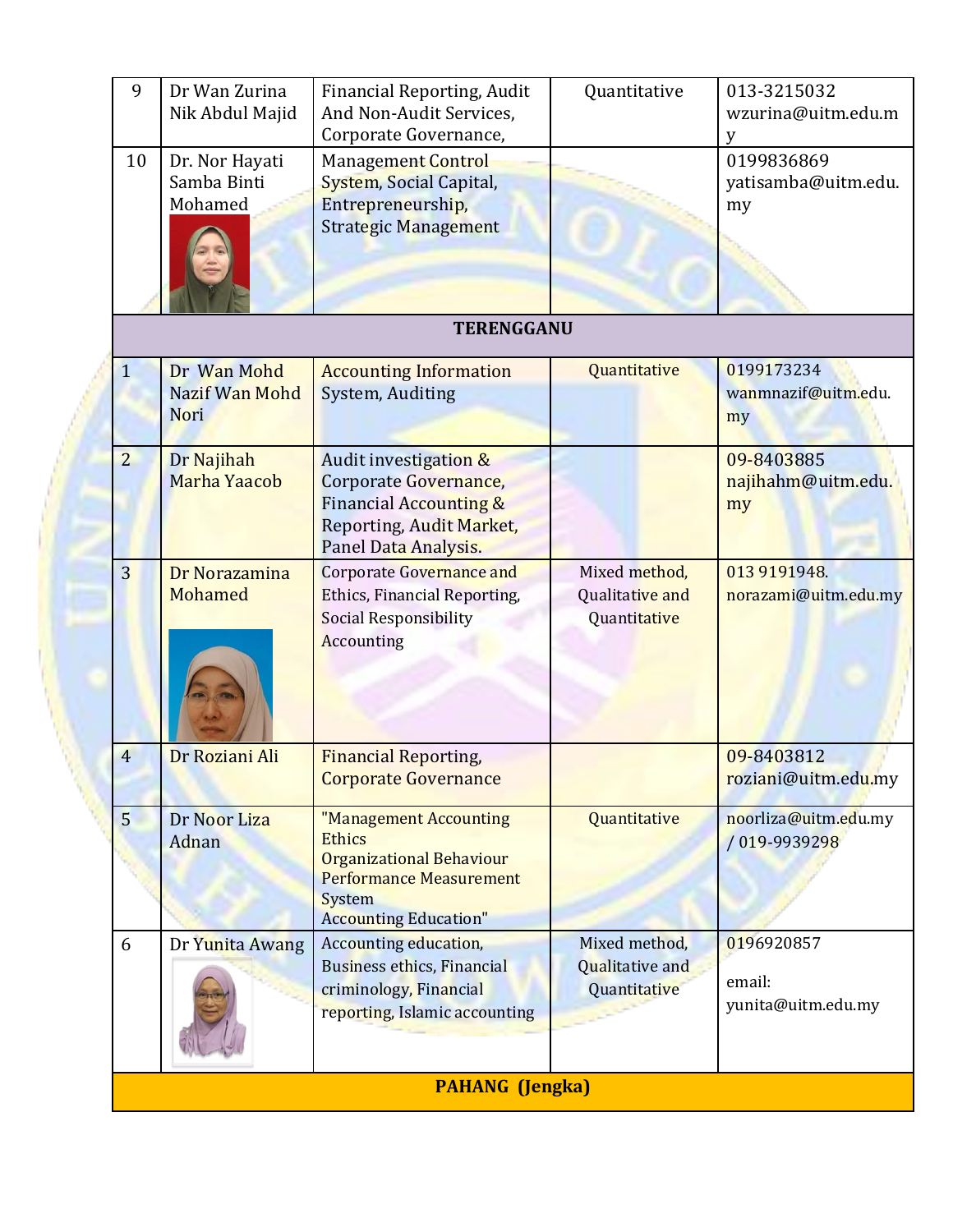| 9              | Dr Wan Zurina<br>Nik Abdul Majid         | Financial Reporting, Audit<br>And Non-Audit Services,<br>Corporate Governance,                                                                                | Quantitative                                     | 013-3215032<br>wzurina@uitm.edu.m<br>y     |  |
|----------------|------------------------------------------|---------------------------------------------------------------------------------------------------------------------------------------------------------------|--------------------------------------------------|--------------------------------------------|--|
| 10             | Dr. Nor Hayati<br>Samba Binti<br>Mohamed | <b>Management Control</b><br><b>System, Social Capital,</b><br>Entrepreneurship,<br><b>Strategic Management</b>                                               |                                                  | 0199836869<br>yatisamba@uitm.edu.<br>my    |  |
|                |                                          | <b>TERENGGANU</b>                                                                                                                                             |                                                  |                                            |  |
| $\mathbf{1}$   | Dr Wan Mohd<br>Nazif Wan Mohd<br>Nori    | <b>Accounting Information</b><br><b>System, Auditing</b>                                                                                                      | Quantitative                                     | 0199173234<br>wanmnazif@uitm.edu.<br>my    |  |
| $\overline{2}$ | Dr Najihah<br>Marha Yaacob               | Audit investigation &<br>Corporate Governance,<br><b>Financial Accounting &amp;</b><br><b>Reporting, Audit Market,</b><br>Panel Data Analysis.                |                                                  | 09-8403885<br>najihahm@uitm.edu.<br>my     |  |
| 3              | Dr Norazamina<br>Mohamed                 | <b>Corporate Governance and</b><br>Ethics, Financial Reporting,<br><b>Social Responsibility</b><br>Accounting                                                 | Mixed method,<br>Qualitative and<br>Quantitative | 013 9191948.<br>norazami@uitm.edu.my       |  |
| $\overline{4}$ | Dr Roziani Ali                           | <b>Financial Reporting,</b><br><b>Corporate Governance</b>                                                                                                    |                                                  | 09-8403812<br>roziani@uitm.edu.my          |  |
| 5 <sup>5</sup> | Dr Noor Liza<br>Adnan                    | "Management Accounting<br><b>Ethics</b><br><b>Organizational Behaviour</b><br><b>Performance Measurement</b><br><b>System</b><br><b>Accounting Education"</b> | Quantitative                                     | noorliza@uitm.edu.my<br>/019-9939298       |  |
| 6              | Dr Yunita Awang                          | Accounting education,<br><b>Business ethics, Financial</b><br>criminology, Financial<br>reporting, Islamic accounting                                         | Mixed method,<br>Qualitative and<br>Quantitative | 0196920857<br>email:<br>yunita@uitm.edu.my |  |
|                | <b>PAHANG</b> (Jengka)                   |                                                                                                                                                               |                                                  |                                            |  |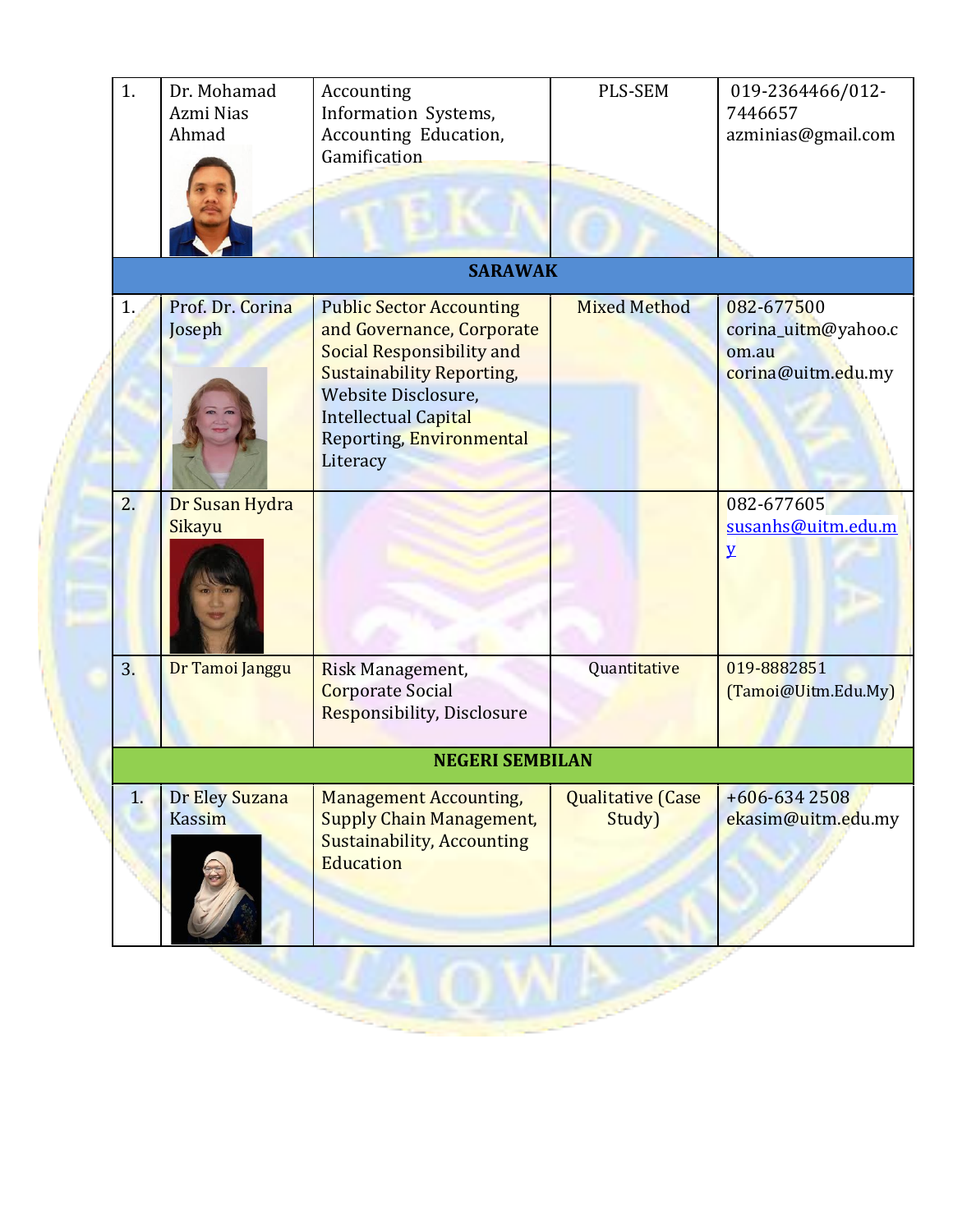| 1. | Dr. Mohamad<br>Azmi Nias<br>Ahmad     | Accounting<br>Information Systems,<br>Accounting Education,<br>Gamification                                                                                                                                                        | PLS-SEM                            | 019-2364466/012-<br>7446657<br>azminias@gmail.com                |
|----|---------------------------------------|------------------------------------------------------------------------------------------------------------------------------------------------------------------------------------------------------------------------------------|------------------------------------|------------------------------------------------------------------|
|    |                                       | <b>SARAWAK</b>                                                                                                                                                                                                                     |                                    |                                                                  |
| 1. | Prof. Dr. Corina<br>Joseph            | <b>Public Sector Accounting</b><br>and Governance, Corporate<br><b>Social Responsibility and</b><br><b>Sustainability Reporting,</b><br>Website Disclosure,<br><b>Intellectual Capital</b><br>Reporting, Environmental<br>Literacy | <b>Mixed Method</b>                | 082-677500<br>corina_uitm@yahoo.c<br>om.au<br>corina@uitm.edu.my |
| 2. | Dr Susan Hydra<br>Sikayu              |                                                                                                                                                                                                                                    |                                    | 082-677605<br>susanhs@uitm.edu.m<br>$\mathbf y$                  |
| 3. | Dr Tamoi Janggu                       | Risk Management,<br><b>Corporate Social</b><br>Responsibility, Disclosure                                                                                                                                                          | Quantitative                       | 019-8882851<br>(Tamoi@Uitm.Edu.My)                               |
|    |                                       | <b>NEGERI SEMBILAN</b>                                                                                                                                                                                                             |                                    |                                                                  |
|    | Dr Eley Suzana<br>1.<br><b>Kassim</b> | <b>Management Accounting,</b><br><b>Supply Chain Management,</b><br><b>Sustainability, Accounting</b><br><b>Education</b>                                                                                                          | <b>Qualitative (Case</b><br>Study) | +606-634 2508<br>ekasim@uitm.edu.my                              |
|    |                                       |                                                                                                                                                                                                                                    |                                    |                                                                  |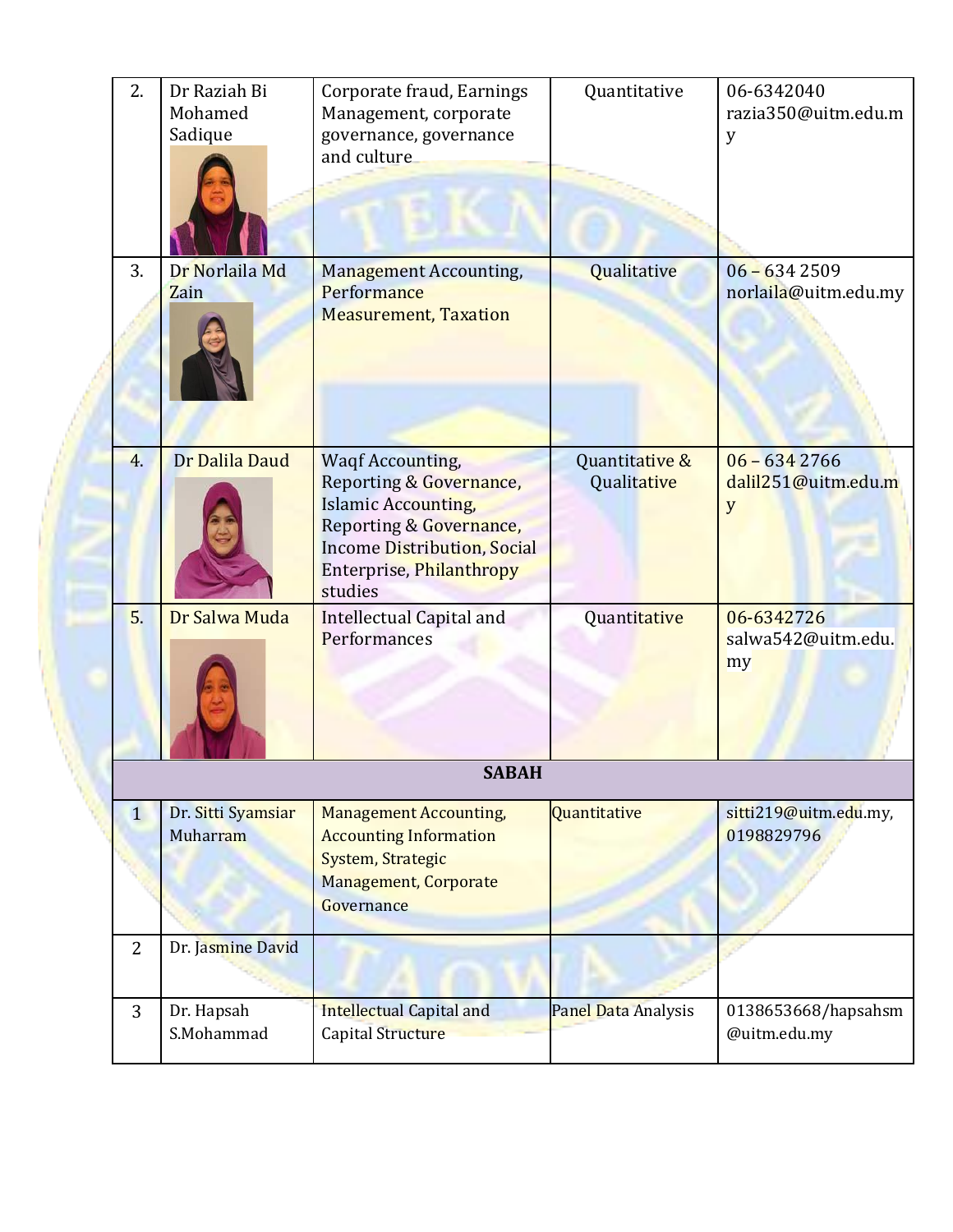| 2.             | Dr Raziah Bi<br>Mohamed<br>Sadique | Corporate fraud, Earnings<br>Management, corporate<br>governance, governance<br>and culture                                                                                                         | Quantitative                  | 06-6342040<br>razia350@uitm.edu.m<br>y     |
|----------------|------------------------------------|-----------------------------------------------------------------------------------------------------------------------------------------------------------------------------------------------------|-------------------------------|--------------------------------------------|
|                |                                    |                                                                                                                                                                                                     |                               |                                            |
| 3.             | Dr Norlaila Md<br>Zain             | <b>Management Accounting,</b><br>Performance<br><b>Measurement, Taxation</b>                                                                                                                        | Qualitative                   | $06 - 6342509$<br>norlaila@uitm.edu.my     |
| 4.             | Dr Dalila Daud                     | <b>Waqf Accounting,</b><br><b>Reporting &amp; Governance,</b><br><b>Islamic Accounting,</b><br>Reporting & Governance,<br><b>Income Distribution, Social</b><br>Enterprise, Philanthropy<br>studies | Quantitative &<br>Qualitative | $06 - 6342766$<br>dalil251@uitm.edu.m<br>y |
| 5.             | Dr Salwa Muda                      | <b>Intellectual Capital and</b><br>Performances                                                                                                                                                     | Quantitative                  | 06-6342726<br>salwa542@uitm.edu.<br>my     |
|                |                                    | <b>SABAH</b>                                                                                                                                                                                        |                               |                                            |
| $\overline{1}$ | Dr. Sitti Syamsiar<br>Muharram     | <b>Management Accounting,</b><br><b>Accounting Information</b><br>System, Strategic<br>Management, Corporate<br>Governance                                                                          | Quantitative                  | sitti219@uitm.edu.my,<br>0198829796        |
| $\overline{2}$ | Dr. Jasmine David                  |                                                                                                                                                                                                     |                               |                                            |
| 3              | Dr. Hapsah<br>S.Mohammad           | <b>Intellectual Capital and</b><br>Capital Structure                                                                                                                                                | <b>Panel Data Analysis</b>    | 0138653668/hapsahsm<br>@uitm.edu.my        |